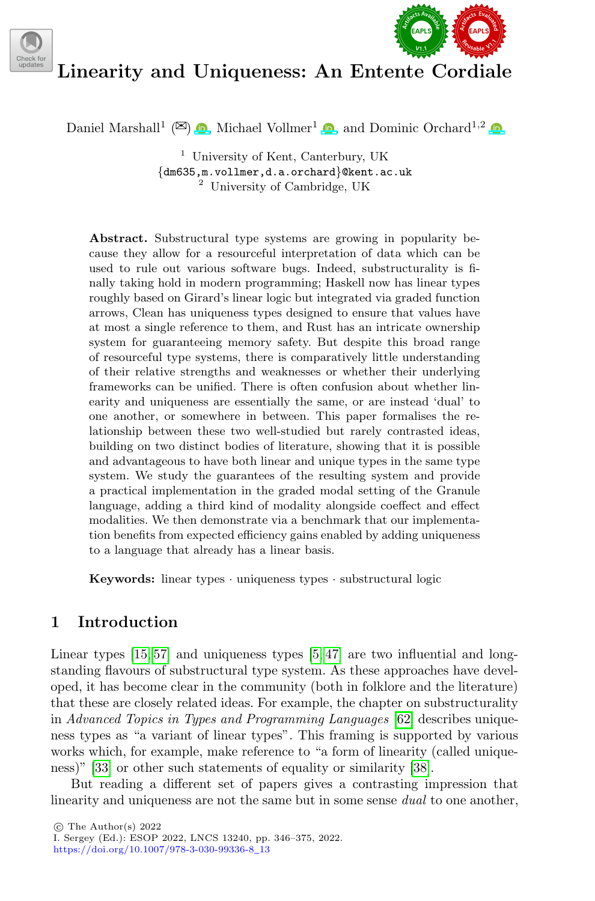

# Linearity and Uniqueness: An Entente Cordiale

Daniel Marshall<sup>1</sup> ( $\boxtimes$ ) **(b**[,](http://orcid.org/0000-0002-0496-8268) Michael Vollmer<sup>1</sup> **b**, and Dominic Orchard<sup>1,2</sup>

<sup>1</sup> University of Kent, Canterbury, UK {dm635,m.vollmer,d.a.orchard}@kent.ac.uk <sup>2</sup> University of Cambridge, UK

Abstract. Substructural type systems are growing in popularity because they allow for a resourceful interpretation of data which can be used to rule out various software bugs. Indeed, substructurality is finally taking hold in modern programming; Haskell now has linear types roughly based on Girard's linear logic but integrated via graded function arrows, Clean has uniqueness types designed to ensure that values have at most a single reference to them, and Rust has an intricate ownership system for guaranteeing memory safety. But despite this broad range of resourceful type systems, there is comparatively little understanding of their relative strengths and weaknesses or whether their underlying frameworks can be unified. There is often confusion about whether linearity and uniqueness are essentially the same, or are instead 'dual' to one another, or somewhere in between. This paper formalises the relationship between these two well-studied but rarely contrasted ideas, building on two distinct bodies of literature, showing that it is possible and advantageous to have both linear and unique types in the same type system. We study the guarantees of the resulting system and provide a practical implementation in the graded modal setting of the Granule language, adding a third kind of modality alongside coeffect and effect modalities. We then demonstrate via a benchmark that our implementation benefits from expected efficiency gains enabled by adding uniqueness to a language that already has a linear basis.

**Keywords:** linear types  $\cdot$  uniqueness types  $\cdot$  substructural logic

# <span id="page-0-0"></span>1 Introduction

Linear types [\[15,](#page-26-0) [57\]](#page-29-0) and uniqueness types [\[5,](#page-25-0) [47\]](#page-28-0) are two influential and longstanding flavours of substructural type system. As these approaches have developed, it has become clear in the community (both in folklore and the literature) that these are closely related ideas. For example, the chapter on substructurality in Advanced Topics in Types and Programming Languages [\[62\]](#page-29-1) describes uniqueness types as "a variant of linear types". This framing is supported by various works which, for example, make reference to "a form of linearity (called uniqueness)" [\[33\]](#page-27-0) or other such statements of equality or similarity [\[38\]](#page-27-1).

But reading a different set of papers gives a contrasting impression that linearity and uniqueness are not the same but in some sense *dual* to one another,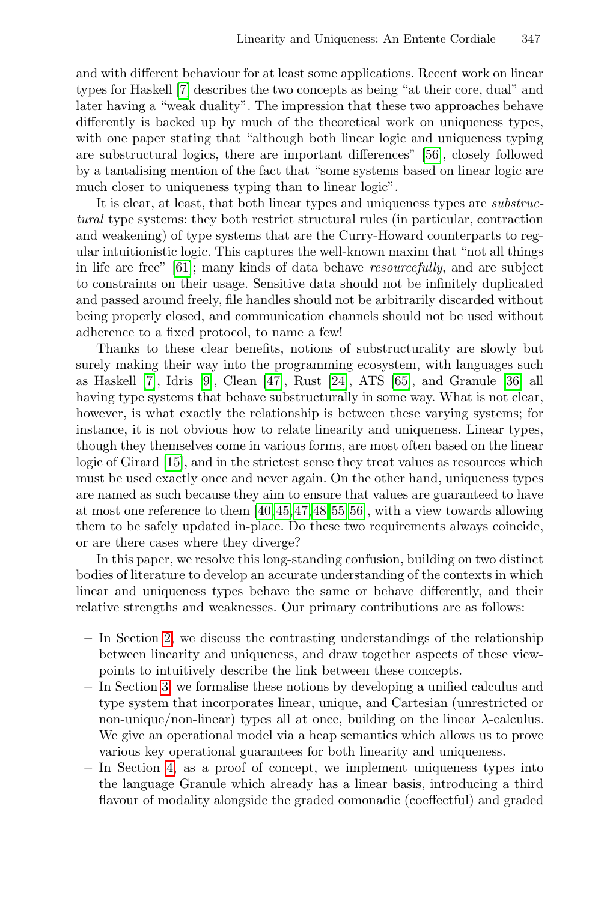and with different behaviour for at least some applications. Recent work on linear types for Haskell [\[7\]](#page-25-1) describes the two concepts as being "at their core, dual" and later having a "weak duality". The impression that these two approaches behave differently is backed up by much of the theoretical work on uniqueness types, with one paper stating that "although both linear logic and uniqueness typing are substructural logics, there are important differences" [\[56\]](#page-28-1), closely followed by a tantalising mention of the fact that "some systems based on linear logic are much closer to uniqueness typing than to linear logic".

It is clear, at least, that both linear types and uniqueness types are substructural type systems: they both restrict structural rules (in particular, contraction and weakening) of type systems that are the Curry-Howard counterparts to regular intuitionistic logic. This captures the well-known maxim that "not all things in life are free" [\[61\]](#page-29-2); many kinds of data behave resourcefully, and are subject to constraints on their usage. Sensitive data should not be infinitely duplicated and passed around freely, file handles should not be arbitrarily discarded without being properly closed, and communication channels should not be used without adherence to a fixed protocol, to name a few!

Thanks to these clear benefits, notions of substructurality are slowly but surely making their way into the programming ecosystem, with languages such as Haskell [\[7\]](#page-25-1), Idris [\[9\]](#page-25-2), Clean [\[47\]](#page-28-0), Rust [\[24\]](#page-26-1), ATS [\[65\]](#page-29-3), and Granule [\[36\]](#page-27-2) all having type systems that behave substructurally in some way. What is not clear, however, is what exactly the relationship is between these varying systems; for instance, it is not obvious how to relate linearity and uniqueness. Linear types, though they themselves come in various forms, are most often based on the linear logic of Girard [\[15\]](#page-26-0), and in the strictest sense they treat values as resources which must be used exactly once and never again. On the other hand, uniqueness types are named as such because they aim to ensure that values are guaranteed to have at most one reference to them [\[40,](#page-27-3)[45,](#page-28-2)[47,](#page-28-0)[48,](#page-28-3)[55,](#page-28-4)[56\]](#page-28-1), with a view towards allowing them to be safely updated in-place. Do these two requirements always coincide, or are there cases where they diverge?

In this paper, we resolve this long-standing confusion, building on two distinct bodies of literature to develop an accurate understanding of the contexts in which linear and uniqueness types behave the same or behave differently, and their relative strengths and weaknesses. Our primary contributions are as follows:

- In Section [2,](#page-2-0) we discuss the contrasting understandings of the relationship between linearity and uniqueness, and draw together aspects of these viewpoints to intuitively describe the link between these concepts.
- In Section [3,](#page-8-0) we formalise these notions by developing a unified calculus and type system that incorporates linear, unique, and Cartesian (unrestricted or non-unique/non-linear) types all at once, building on the linear λ-calculus. We give an operational model via a heap semantics which allows us to prove various key operational guarantees for both linearity and uniqueness.
- In Section [4,](#page-17-0) as a proof of concept, we implement uniqueness types into the language Granule which already has a linear basis, introducing a third flavour of modality alongside the graded comonadic (coeffectful) and graded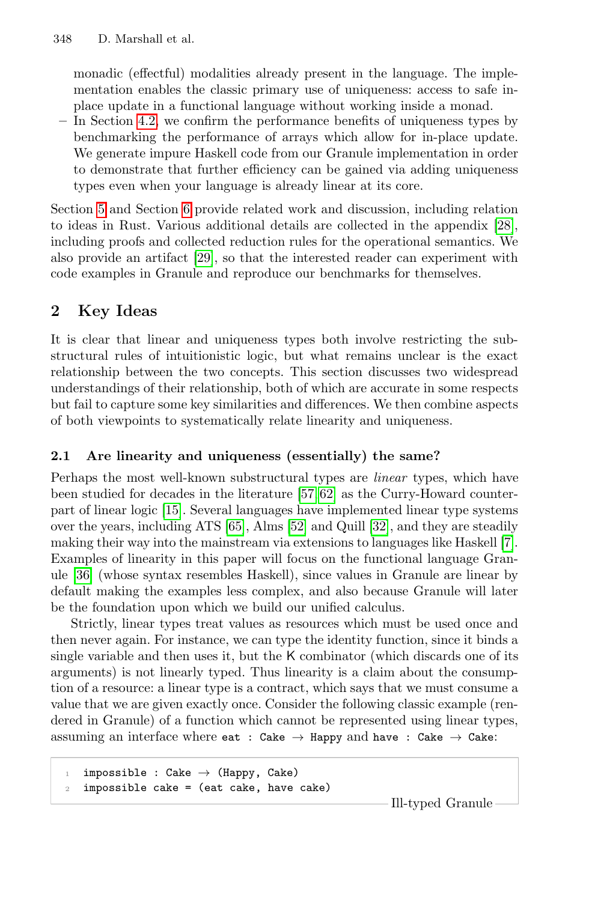monadic (effectful) modalities already present in the language. The implementation enables the classic primary use of uniqueness: access to safe inplace update in a functional language without working inside a monad.

– In Section [4.2,](#page-19-0) we confirm the performance benefits of uniqueness types by benchmarking the performance of arrays which allow for in-place update. We generate impure Haskell code from our Granule implementation in order to demonstrate that further efficiency can be gained via adding uniqueness types even when your language is already linear at its core.

Section [5](#page-21-0) and Section [6](#page-22-0) provide related work and discussion, including relation to ideas in Rust. Various additional details are collected in the appendix [\[28\]](#page-27-4), including proofs and collected reduction rules for the operational semantics. We also provide an artifact [\[29\]](#page-27-5), so that the interested reader can experiment with code examples in Granule and reproduce our benchmarks for themselves.

# <span id="page-2-0"></span>2 Key Ideas

It is clear that linear and uniqueness types both involve restricting the substructural rules of intuitionistic logic, but what remains unclear is the exact relationship between the two concepts. This section discusses two widespread understandings of their relationship, both of which are accurate in some respects but fail to capture some key similarities and differences. We then combine aspects of both viewpoints to systematically relate linearity and uniqueness.

# 2.1 Are linearity and uniqueness (essentially) the same?

Perhaps the most well-known substructural types are linear types, which have been studied for decades in the literature [\[57,](#page-29-0) [62\]](#page-29-1) as the Curry-Howard counterpart of linear logic [\[15\]](#page-26-0). Several languages have implemented linear type systems over the years, including ATS [\[65\]](#page-29-3), Alms [\[52\]](#page-28-5) and Quill [\[32\]](#page-27-6), and they are steadily making their way into the mainstream via extensions to languages like Haskell [\[7\]](#page-25-1). Examples of linearity in this paper will focus on the functional language Granule [\[36\]](#page-27-2) (whose syntax resembles Haskell), since values in Granule are linear by default making the examples less complex, and also because Granule will later be the foundation upon which we build our unified calculus.

Strictly, linear types treat values as resources which must be used once and then never again. For instance, we can type the identity function, since it binds a single variable and then uses it, but the K combinator (which discards one of its arguments) is not linearly typed. Thus linearity is a claim about the consumption of a resource: a linear type is a contract, which says that we must consume a value that we are given exactly once. Consider the following classic example (rendered in Granule) of a function which cannot be represented using linear types, assuming an interface where eat : Cake  $\rightarrow$  Happy and have : Cake  $\rightarrow$  Cake:

```
1 impossible : Cake \rightarrow (Happy, Cake)
```
<sup>2</sup> impossible cake = (eat cake, have cake)

Ill-typed Granule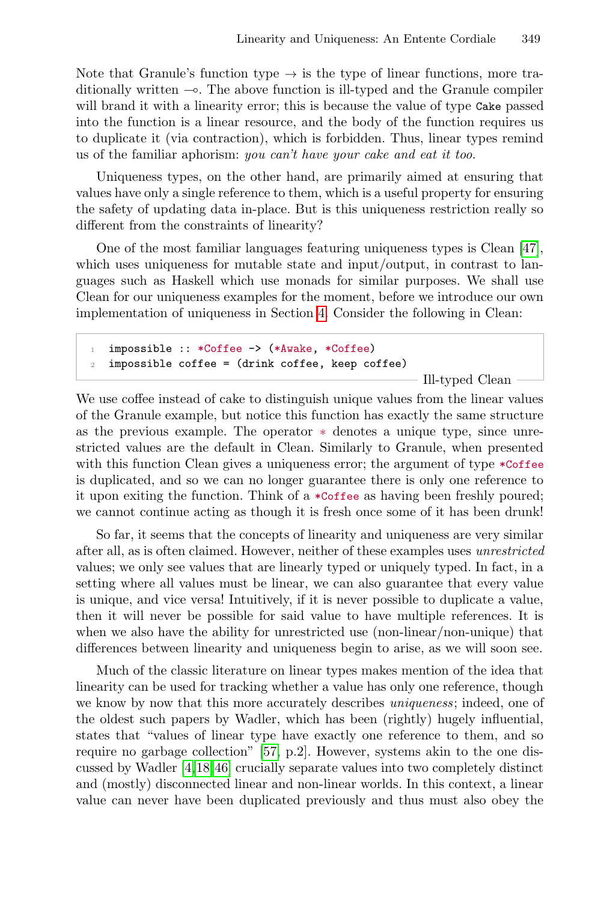Note that Granule's function type  $\rightarrow$  is the type of linear functions, more traditionally written  $\sim$ . The above function is ill-typed and the Granule compiler will brand it with a linearity error; this is because the value of type Cake passed into the function is a linear resource, and the body of the function requires us to duplicate it (via contraction), which is forbidden. Thus, linear types remind us of the familiar aphorism: you can't have your cake and eat it too.

Uniqueness types, on the other hand, are primarily aimed at ensuring that values have only a single reference to them, which is a useful property for ensuring the safety of updating data in-place. But is this uniqueness restriction really so different from the constraints of linearity?

One of the most familiar languages featuring uniqueness types is Clean [\[47\]](#page-28-0), which uses uniqueness for mutable state and input/output, in contrast to languages such as Haskell which use monads for similar purposes. We shall use Clean for our uniqueness examples for the moment, before we introduce our own implementation of uniqueness in Section [4.](#page-17-0) Consider the following in Clean:

```
1 impossible :: *Coffee -> (*Awake, *Coffee)
  impossible coffee = (drink coffee, keep coffee)
```
Ill-typed Clean

We use coffee instead of cake to distinguish unique values from the linear values of the Granule example, but notice this function has exactly the same structure as the previous example. The operator ∗ denotes a unique type, since unrestricted values are the default in Clean. Similarly to Granule, when presented with this function Clean gives a uniqueness error; the argument of type \*Coffee is duplicated, and so we can no longer guarantee there is only one reference to it upon exiting the function. Think of a \*Coffee as having been freshly poured; we cannot continue acting as though it is fresh once some of it has been drunk!

So far, it seems that the concepts of linearity and uniqueness are very similar after all, as is often claimed. However, neither of these examples uses unrestricted values; we only see values that are linearly typed or uniquely typed. In fact, in a setting where all values must be linear, we can also guarantee that every value is unique, and vice versa! Intuitively, if it is never possible to duplicate a value, then it will never be possible for said value to have multiple references. It is when we also have the ability for unrestricted use (non-linear/non-unique) that differences between linearity and uniqueness begin to arise, as we will soon see.

Much of the classic literature on linear types makes mention of the idea that linearity can be used for tracking whether a value has only one reference, though we know by now that this more accurately describes uniqueness; indeed, one of the oldest such papers by Wadler, which has been (rightly) hugely influential, states that "values of linear type have exactly one reference to them, and so require no garbage collection" [\[57,](#page-29-0) p.2]. However, systems akin to the one discussed by Wadler [\[4,](#page-25-3)[18,](#page-26-2)[46\]](#page-28-6) crucially separate values into two completely distinct and (mostly) disconnected linear and non-linear worlds. In this context, a linear value can never have been duplicated previously and thus must also obey the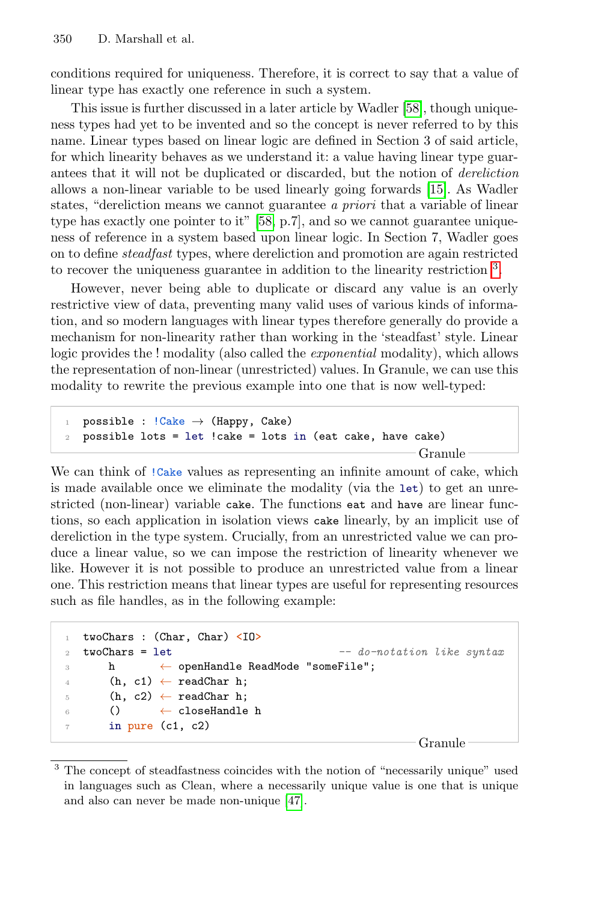conditions required for uniqueness. Therefore, it is correct to say that a value of linear type has exactly one reference in such a system.

This issue is further discussed in a later article by Wadler [\[58\]](#page-29-4), though uniqueness types had yet to be invented and so the concept is never referred to by this name. Linear types based on linear logic are defined in Section 3 of said article, for which linearity behaves as we understand it: a value having linear type guarantees that it will not be duplicated or discarded, but the notion of dereliction allows a non-linear variable to be used linearly going forwards [\[15\]](#page-26-0). As Wadler states, "dereliction means we cannot guarantee a priori that a variable of linear type has exactly one pointer to it" [\[58,](#page-29-4) p.7], and so we cannot guarantee uniqueness of reference in a system based upon linear logic. In Section 7, Wadler goes on to define steadfast types, where dereliction and promotion are again restricted to recover the uniqueness guarantee in addition to the linearity restriction <sup>[3](#page-4-0)</sup>.

However, never being able to duplicate or discard any value is an overly restrictive view of data, preventing many valid uses of various kinds of information, and so modern languages with linear types therefore generally do provide a mechanism for non-linearity rather than working in the 'steadfast' style. Linear logic provides the ! modality (also called the exponential modality), which allows the representation of non-linear (unrestricted) values. In Granule, we can use this modality to rewrite the previous example into one that is now well-typed:

```
Granule
1 possible : !Cake \rightarrow (Happy, Cake)
  2 possible lots = let !cake = lots in (eat cake, have cake)
```
We can think of  $Cake$  values as representing an infinite amount of cake, which is made available once we eliminate the modality (via the let) to get an unrestricted (non-linear) variable cake. The functions eat and have are linear functions, so each application in isolation views cake linearly, by an implicit use of dereliction in the type system. Crucially, from an unrestricted value we can produce a linear value, so we can impose the restriction of linearity whenever we like. However it is not possible to produce an unrestricted value from a linear one. This restriction means that linear types are useful for representing resources such as file handles, as in the following example:

```
Granule
1 twoChars : (Char, Char) <IO>
2 twoChars = let - do-notation like syntax
3 h ← openHandle ReadMode "someFile";
4 (h, c1) \leftarrow readChar h;
5 (h, c2) \leftarrow readChar h;
6 () \leftarrow closeHandle h
      in pure (c1, c2)
```
<span id="page-4-0"></span><sup>3</sup> The concept of steadfastness coincides with the notion of "necessarily unique" used in languages such as Clean, where a necessarily unique value is one that is unique and also can never be made non-unique [\[47\]](#page-28-0).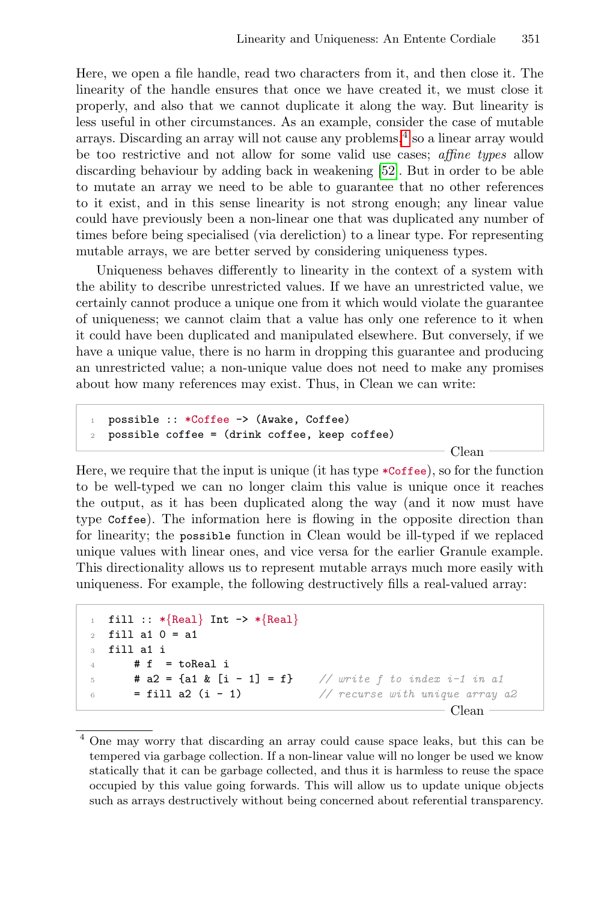Here, we open a file handle, read two characters from it, and then close it. The linearity of the handle ensures that once we have created it, we must close it properly, and also that we cannot duplicate it along the way. But linearity is less useful in other circumstances. As an example, consider the case of mutable arrays. Discarding an array will not cause any problems,<sup>[4](#page-5-0)</sup> so a linear array would be too restrictive and not allow for some valid use cases; affine types allow discarding behaviour by adding back in weakening [\[52\]](#page-28-5). But in order to be able to mutate an array we need to be able to guarantee that no other references to it exist, and in this sense linearity is not strong enough; any linear value could have previously been a non-linear one that was duplicated any number of times before being specialised (via dereliction) to a linear type. For representing mutable arrays, we are better served by considering uniqueness types.

Uniqueness behaves differently to linearity in the context of a system with the ability to describe unrestricted values. If we have an unrestricted value, we certainly cannot produce a unique one from it which would violate the guarantee of uniqueness; we cannot claim that a value has only one reference to it when it could have been duplicated and manipulated elsewhere. But conversely, if we have a unique value, there is no harm in dropping this guarantee and producing an unrestricted value; a non-unique value does not need to make any promises about how many references may exist. Thus, in Clean we can write:

```
1 possible :: *Coffee -> (Awake, Coffee)
  2 possible coffee = (drink coffee, keep coffee)
```

```
Clean
```
Here, we require that the input is unique (it has type \*Coffee), so for the function to be well-typed we can no longer claim this value is unique once it reaches the output, as it has been duplicated along the way (and it now must have type Coffee). The information here is flowing in the opposite direction than for linearity; the possible function in Clean would be ill-typed if we replaced unique values with linear ones, and vice versa for the earlier Granule example. This directionality allows us to represent mutable arrays much more easily with uniqueness. For example, the following destructively fills a real-valued array:

```
1 fill :: *\{Real\} Int \rightarrow *{Real}2 fill a1 0 = a13 fill a1 i
4 + f = \text{token}5 \# a2 = {a1 & [i - 1] = f} // write f to index i-1 in a1
6 = fill a2 (i - 1) // recurse with unique array a2
```
Clean

<span id="page-5-0"></span><sup>4</sup> One may worry that discarding an array could cause space leaks, but this can be tempered via garbage collection. If a non-linear value will no longer be used we know statically that it can be garbage collected, and thus it is harmless to reuse the space occupied by this value going forwards. This will allow us to update unique objects such as arrays destructively without being concerned about referential transparency.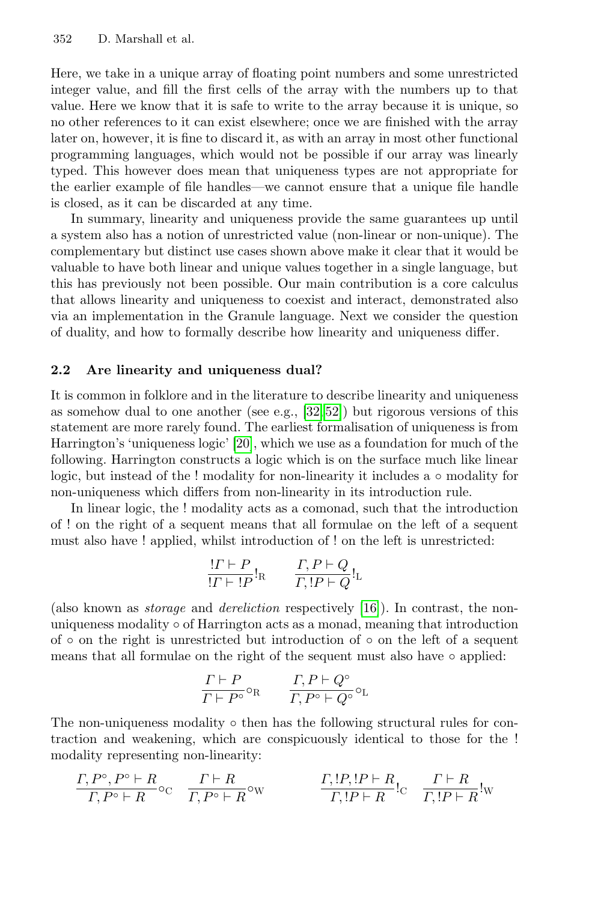Here, we take in a unique array of floating point numbers and some unrestricted integer value, and fill the first cells of the array with the numbers up to that value. Here we know that it is safe to write to the array because it is unique, so no other references to it can exist elsewhere; once we are finished with the array later on, however, it is fine to discard it, as with an array in most other functional programming languages, which would not be possible if our array was linearly typed. This however does mean that uniqueness types are not appropriate for the earlier example of file handles—we cannot ensure that a unique file handle is closed, as it can be discarded at any time.

In summary, linearity and uniqueness provide the same guarantees up until a system also has a notion of unrestricted value (non-linear or non-unique). The complementary but distinct use cases shown above make it clear that it would be valuable to have both linear and unique values together in a single language, but this has previously not been possible. Our main contribution is a core calculus that allows linearity and uniqueness to coexist and interact, demonstrated also via an implementation in the Granule language. Next we consider the question of duality, and how to formally describe how linearity and uniqueness differ.

#### 2.2 Are linearity and uniqueness dual?

It is common in folklore and in the literature to describe linearity and uniqueness as somehow dual to one another (see e.g., [\[32,](#page-27-6) [52\]](#page-28-5)) but rigorous versions of this statement are more rarely found. The earliest formalisation of uniqueness is from Harrington's 'uniqueness logic' [\[20\]](#page-26-3), which we use as a foundation for much of the following. Harrington constructs a logic which is on the surface much like linear logic, but instead of the ! modality for non-linearity it includes a ◦ modality for non-uniqueness which differs from non-linearity in its introduction rule.

In linear logic, the ! modality acts as a comonad, such that the introduction of ! on the right of a sequent means that all formulae on the left of a sequent must also have ! applied, whilst introduction of ! on the left is unrestricted:

$$
\frac{! \varGamma \vdash P}{! \varGamma \vdash ! P} !_{\text{R}} \qquad \frac{\varGamma, P \vdash Q}{\varGamma, ! P \vdash Q} !_{\text{L}}
$$

(also known as storage and dereliction respectively [\[16\]](#page-26-4)). In contrast, the nonuniqueness modality ◦ of Harrington acts as a monad, meaning that introduction of  $\circ$  on the right is unrestricted but introduction of  $\circ$  on the left of a sequent means that all formulae on the right of the sequent must also have  $\circ$  applied:

$$
\frac{\varGamma \vdash P}{\varGamma \vdash P^{\circ}} \circ_{\mathbf{R}} \qquad \frac{\varGamma, P \vdash Q^{\circ}}{\varGamma, P^{\circ} \vdash Q^{\circ}} \circ_{\mathbf{L}}
$$

The non-uniqueness modality  $\circ$  then has the following structural rules for contraction and weakening, which are conspicuously identical to those for the ! modality representing non-linearity:

$$
\frac{\Gamma, P^{\circ}, P^{\circ} \vdash R}{\Gamma, P^{\circ} \vdash R} \circ_{\mathcal{C}} \quad \frac{\Gamma \vdash R}{\Gamma, P^{\circ} \vdash R} \circ_{\mathcal{W}} \qquad \qquad \frac{\Gamma, !P, !P \vdash R}{\Gamma, !P \vdash R} !_{\mathcal{C}} \quad \frac{\Gamma \vdash R}{\Gamma, !P \vdash R} !_{\mathcal{W}}
$$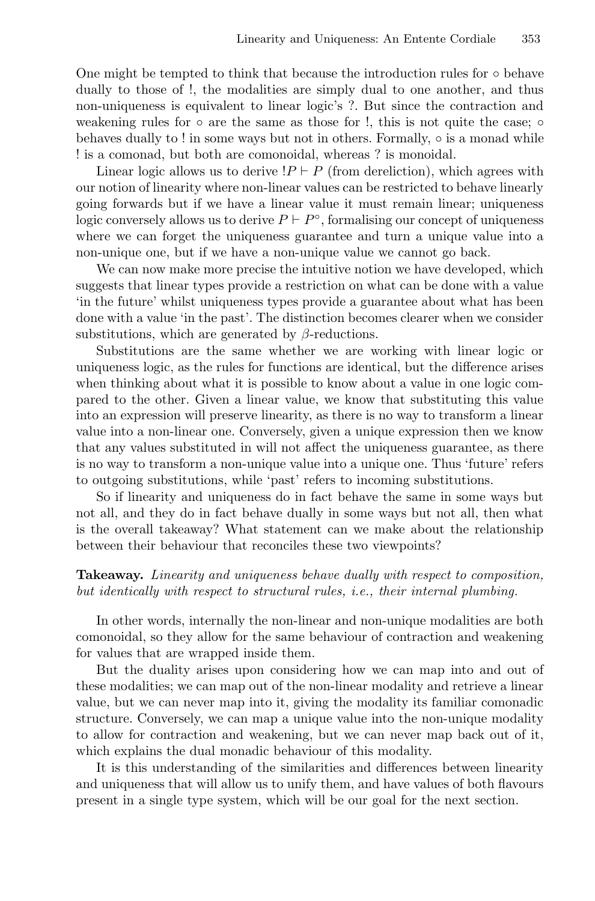One might be tempted to think that because the introduction rules for  $\circ$  behave dually to those of !, the modalities are simply dual to one another, and thus non-uniqueness is equivalent to linear logic's ?. But since the contraction and weakening rules for  $\circ$  are the same as those for !, this is not quite the case;  $\circ$ behaves dually to ! in some ways but not in others. Formally,  $\circ$  is a monad while ! is a comonad, but both are comonoidal, whereas ? is monoidal.

Linear logic allows us to derive  $P \vdash P$  (from dereliction), which agrees with our notion of linearity where non-linear values can be restricted to behave linearly going forwards but if we have a linear value it must remain linear; uniqueness logic conversely allows us to derive  $P \vdash P^{\circ}$ , formalising our concept of uniqueness where we can forget the uniqueness guarantee and turn a unique value into a non-unique one, but if we have a non-unique value we cannot go back.

We can now make more precise the intuitive notion we have developed, which suggests that linear types provide a restriction on what can be done with a value 'in the future' whilst uniqueness types provide a guarantee about what has been done with a value 'in the past'. The distinction becomes clearer when we consider substitutions, which are generated by  $\beta$ -reductions.

Substitutions are the same whether we are working with linear logic or uniqueness logic, as the rules for functions are identical, but the difference arises when thinking about what it is possible to know about a value in one logic compared to the other. Given a linear value, we know that substituting this value into an expression will preserve linearity, as there is no way to transform a linear value into a non-linear one. Conversely, given a unique expression then we know that any values substituted in will not affect the uniqueness guarantee, as there is no way to transform a non-unique value into a unique one. Thus 'future' refers to outgoing substitutions, while 'past' refers to incoming substitutions.

So if linearity and uniqueness do in fact behave the same in some ways but not all, and they do in fact behave dually in some ways but not all, then what is the overall takeaway? What statement can we make about the relationship between their behaviour that reconciles these two viewpoints?

### Takeaway. Linearity and uniqueness behave dually with respect to composition, but identically with respect to structural rules, i.e., their internal plumbing.

In other words, internally the non-linear and non-unique modalities are both comonoidal, so they allow for the same behaviour of contraction and weakening for values that are wrapped inside them.

But the duality arises upon considering how we can map into and out of these modalities; we can map out of the non-linear modality and retrieve a linear value, but we can never map into it, giving the modality its familiar comonadic structure. Conversely, we can map a unique value into the non-unique modality to allow for contraction and weakening, but we can never map back out of it, which explains the dual monadic behaviour of this modality.

It is this understanding of the similarities and differences between linearity and uniqueness that will allow us to unify them, and have values of both flavours present in a single type system, which will be our goal for the next section.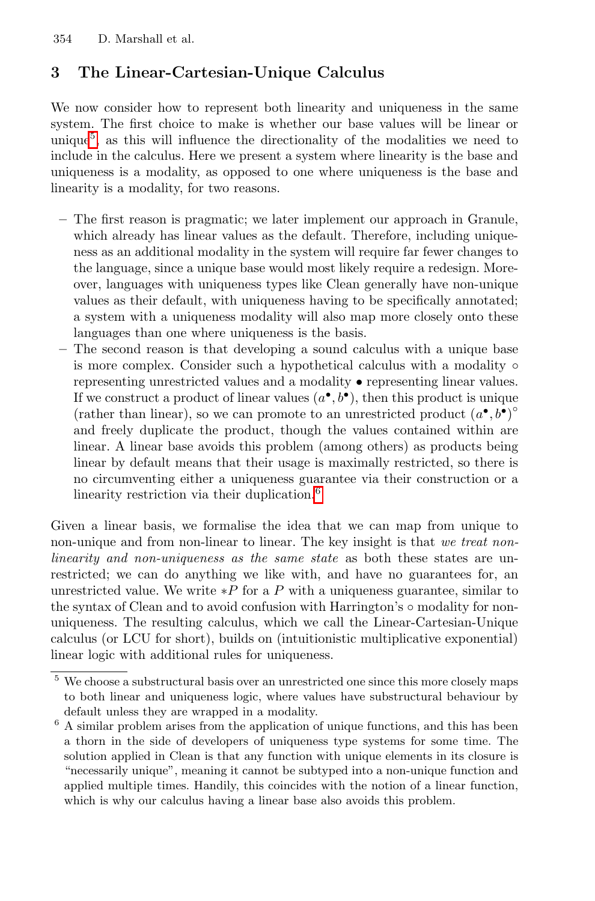# <span id="page-8-0"></span>3 The Linear-Cartesian-Unique Calculus

We now consider how to represent both linearity and uniqueness in the same system. The first choice to make is whether our base values will be linear or unique[5](#page-8-1) , as this will influence the directionality of the modalities we need to include in the calculus. Here we present a system where linearity is the base and uniqueness is a modality, as opposed to one where uniqueness is the base and linearity is a modality, for two reasons.

- The first reason is pragmatic; we later implement our approach in Granule, which already has linear values as the default. Therefore, including uniqueness as an additional modality in the system will require far fewer changes to the language, since a unique base would most likely require a redesign. Moreover, languages with uniqueness types like Clean generally have non-unique values as their default, with uniqueness having to be specifically annotated; a system with a uniqueness modality will also map more closely onto these languages than one where uniqueness is the basis.
- The second reason is that developing a sound calculus with a unique base is more complex. Consider such a hypothetical calculus with a modality  $\circ$ representing unrestricted values and a modality • representing linear values. If we construct a product of linear values  $(a^{\bullet}, b^{\bullet})$ , then this product is unique (rather than linear), so we can promote to an unrestricted product  $(a^{\bullet}, b^{\bullet})^{\circ}$ and freely duplicate the product, though the values contained within are linear. A linear base avoids this problem (among others) as products being linear by default means that their usage is maximally restricted, so there is no circumventing either a uniqueness guarantee via their construction or a linearity restriction via their duplication.<sup>[6](#page-8-2)</sup>

Given a linear basis, we formalise the idea that we can map from unique to non-unique and from non-linear to linear. The key insight is that we treat nonlinearity and non-uniqueness as the same state as both these states are unrestricted; we can do anything we like with, and have no guarantees for, an unrestricted value. We write  $*P$  for a P with a uniqueness guarantee, similar to the syntax of Clean and to avoid confusion with Harrington's ◦ modality for nonuniqueness. The resulting calculus, which we call the Linear-Cartesian-Unique calculus (or LCU for short), builds on (intuitionistic multiplicative exponential) linear logic with additional rules for uniqueness.

<span id="page-8-1"></span> $5\,$  We choose a substructural basis over an unrestricted one since this more closely maps to both linear and uniqueness logic, where values have substructural behaviour by default unless they are wrapped in a modality.

<span id="page-8-2"></span> $^6$  A similar problem arises from the application of unique functions, and this has been a thorn in the side of developers of uniqueness type systems for some time. The solution applied in Clean is that any function with unique elements in its closure is "necessarily unique", meaning it cannot be subtyped into a non-unique function and applied multiple times. Handily, this coincides with the notion of a linear function, which is why our calculus having a linear base also avoids this problem.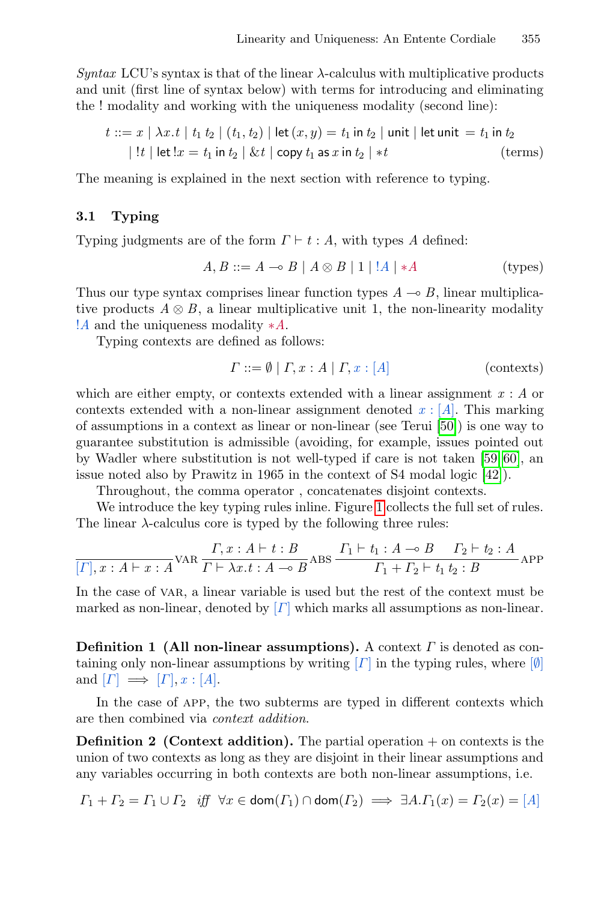Syntax LCU's syntax is that of the linear  $\lambda$ -calculus with multiplicative products and unit (first line of syntax below) with terms for introducing and eliminating the ! modality and working with the uniqueness modality (second line):

$$
t ::= x \mid \lambda x. t \mid t_1 t_2 \mid (t_1, t_2) \mid \text{let } (x, y) = t_1 \text{ in } t_2 \mid \text{unit} \mid \text{let unit} = t_1 \text{ in } t_2
$$
  
|\n
$$
| \text{ let } !x = t_1 \text{ in } t_2 \mid \& t \mid \text{copy } t_1 \text{ as } x \text{ in } t_2 \mid *t
$$
 (terms)

The meaning is explained in the next section with reference to typing.

### 3.1 Typing

Typing judgments are of the form  $\Gamma \vdash t : A$ , with types A defined:

$$
A, B ::= A \multimap B \mid A \otimes B \mid 1 \mid !A \mid *A
$$
 (types)

Thus our type syntax comprises linear function types  $A \rightarrow B$ , linear multiplicative products  $A \otimes B$ , a linear multiplicative unit 1, the non-linearity modality !A and the uniqueness modality ∗A.

Typing contexts are defined as follows:

$$
\Gamma ::= \emptyset \mid \Gamma, x : A \mid \Gamma, x : [A] \tag{contexts}
$$

which are either empty, or contexts extended with a linear assignment  $x : A$  or contexts extended with a non-linear assignment denoted  $x : [A]$ . This marking of assumptions in a context as linear or non-linear (see Terui [\[50\]](#page-28-7)) is one way to guarantee substitution is admissible (avoiding, for example, issues pointed out by Wadler where substitution is not well-typed if care is not taken [\[59,](#page-29-5) [60\]](#page-29-6), an issue noted also by Prawitz in 1965 in the context of S4 modal logic [\[42\]](#page-27-7)).

Throughout, the comma operator , concatenates disjoint contexts.

We introduce the key typing rules inline. Figure [1](#page-11-0) collects the full set of rules. The linear  $\lambda$ -calculus core is typed by the following three rules:

$$
\frac{\Gamma, x:A \vdash t:B}{\Gamma, x:A \vdash x:A} \text{VAR} \frac{\Gamma, x:A \vdash t:B}{\Gamma \vdash \lambda x.t:A \multimap B} \text{ABS} \frac{\Gamma_1 \vdash t_1:A \multimap B \quad \Gamma_2 \vdash t_2:A}{\Gamma_1 + \Gamma_2 \vdash t_1 \ t_2:B} \text{APP}
$$

In the case of VAR, a linear variable is used but the rest of the context must be marked as non-linear, denoted by  $[T]$  which marks all assumptions as non-linear.

**Definition 1** (All non-linear assumptions). A context  $\Gamma$  is denoted as containing only non-linear assumptions by writing  $[T]$  in the typing rules, where  $[Ø]$ and  $[\Gamma] \implies [\Gamma], x : [A].$ 

In the case of app, the two subterms are typed in different contexts which are then combined via context addition.

**Definition 2** (Context addition). The partial operation  $+$  on contexts is the union of two contexts as long as they are disjoint in their linear assumptions and any variables occurring in both contexts are both non-linear assumptions, i.e.

$$
\Gamma_1 + \Gamma_2 = \Gamma_1 \cup \Gamma_2 \quad \text{iff} \quad \forall x \in \text{dom}(\Gamma_1) \cap \text{dom}(\Gamma_2) \implies \exists A.\Gamma_1(x) = \Gamma_2(x) = [A]
$$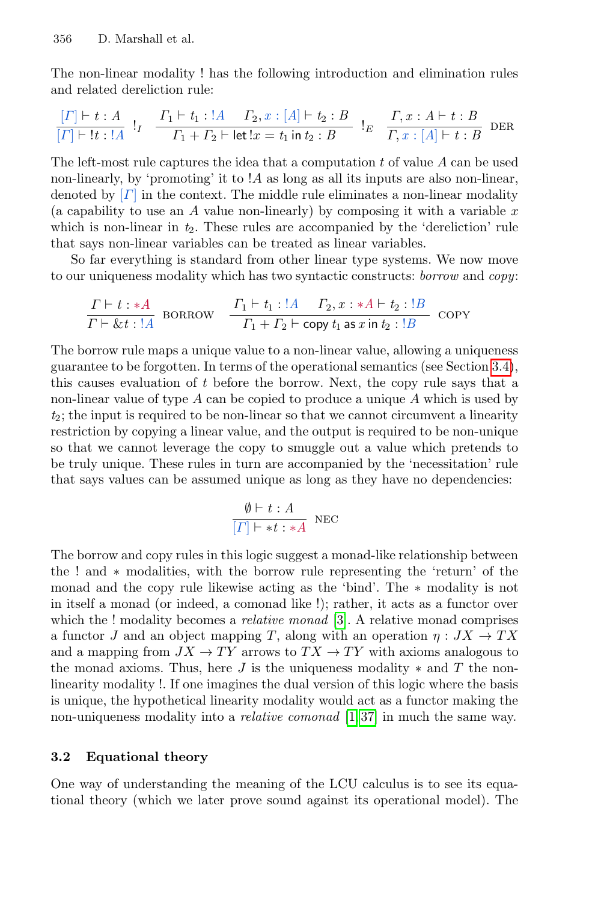The non-linear modality ! has the following introduction and elimination rules and related dereliction rule:

$$
\frac{[T] \vdash t : A \quad I_1 \vdash t_1 : !A \quad I_2, x : [A] \vdash t_2 : B \quad I_r, x : A \vdash t : B \quad \text{DER}
$$
  

$$
\frac{[T] \vdash !t : !A \quad I_1 \vdash T_2 \vdash \text{let } !x = t_1 \text{ in } t_2 : B \quad I_r, x : [A] \vdash t : B \quad \text{DER}
$$

The left-most rule captures the idea that a computation t of value A can be used non-linearly, by 'promoting' it to !A as long as all its inputs are also non-linear, denoted by  $[I]$  in the context. The middle rule eliminates a non-linear modality (a capability to use an  $A$  value non-linearly) by composing it with a variable  $x$ which is non-linear in  $t_2$ . These rules are accompanied by the 'dereliction' rule that says non-linear variables can be treated as linear variables.

So far everything is standard from other linear type systems. We now move to our uniqueness modality which has two syntactic constructs: borrow and copy:

$$
\frac{\Gamma \vdash t : *A}{\Gamma \vdash \& t : !A} \quad \text{BORROW} \quad \frac{\Gamma_1 \vdash t_1 : !A \quad \Gamma_2, x : *A \vdash t_2 : !B}{\Gamma_1 + \Gamma_2 \vdash \text{copy } t_1 \text{ as } x \text{ in } t_2 : !B} \quad \text{copy}
$$

The borrow rule maps a unique value to a non-linear value, allowing a uniqueness guarantee to be forgotten. In terms of the operational semantics (see Section [3.4\)](#page-12-0), this causes evaluation of t before the borrow. Next, the copy rule says that a non-linear value of type  $A$  can be copied to produce a unique  $A$  which is used by  $t_2$ ; the input is required to be non-linear so that we cannot circumvent a linearity restriction by copying a linear value, and the output is required to be non-unique so that we cannot leverage the copy to smuggle out a value which pretends to be truly unique. These rules in turn are accompanied by the 'necessitation' rule that says values can be assumed unique as long as they have no dependencies:

$$
\frac{\emptyset \vdash t : A}{[\Gamma] \vdash *t : *A} \text{ NEC}
$$

The borrow and copy rules in this logic suggest a monad-like relationship between the ! and ∗ modalities, with the borrow rule representing the 'return' of the monad and the copy rule likewise acting as the 'bind'. The ∗ modality is not in itself a monad (or indeed, a comonad like !); rather, it acts as a functor over which the ! modality becomes a *relative monad* [\[3\]](#page-25-4). A relative monad comprises a functor J and an object mapping T, along with an operation  $\eta: JX \to TX$ and a mapping from  $JX \to TY$  arrows to  $TX \to TY$  with axioms analogous to the monad axioms. Thus, here  $J$  is the uniqueness modality  $*$  and  $T$  the nonlinearity modality !. If one imagines the dual version of this logic where the basis is unique, the hypothetical linearity modality would act as a functor making the non-uniqueness modality into a *relative comonad*  $|1,37|$  in much the same way.

#### 3.2 Equational theory

One way of understanding the meaning of the LCU calculus is to see its equational theory (which we later prove sound against its operational model). The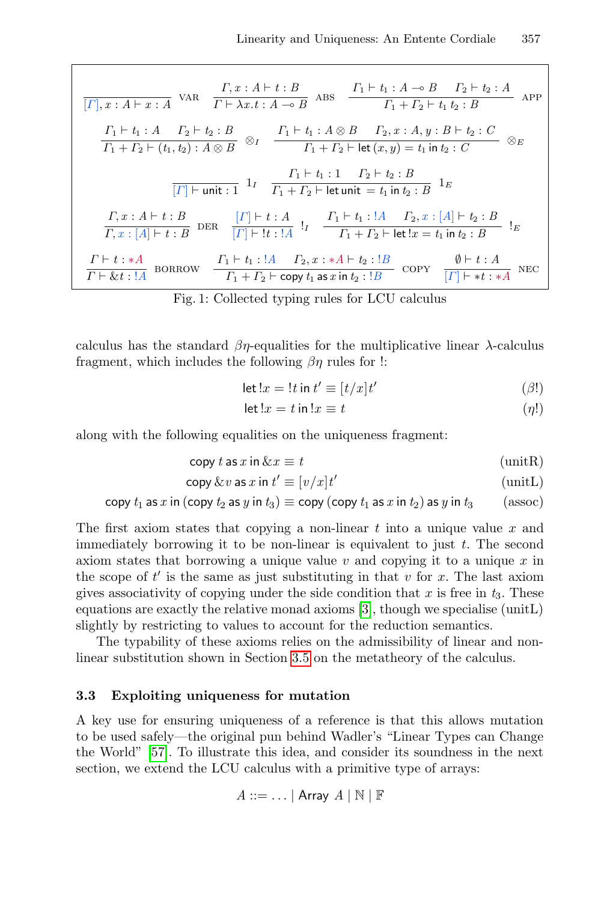<span id="page-11-0"></span>[Γ], x : A ` x : A var Γ, x : A ` t : B Γ ` λx .t : A ( B abs Γ<sup>1</sup> ` t<sup>1</sup> : A ( B Γ<sup>2</sup> ` t<sup>2</sup> : A Γ<sup>1</sup> + Γ<sup>2</sup> ` t<sup>1</sup> t<sup>2</sup> : B app Γ<sup>1</sup> ` t<sup>1</sup> : A Γ<sup>2</sup> ` t<sup>2</sup> : B Γ<sup>1</sup> + Γ<sup>2</sup> ` (t1, t2) : A ⊗ B ⊗<sup>I</sup> Γ<sup>1</sup> ` t<sup>1</sup> : A ⊗ B Γ2, x : A, y : B ` t<sup>2</sup> : C Γ<sup>1</sup> + Γ<sup>2</sup> ` let(x, y) = t<sup>1</sup> in t<sup>2</sup> : C ⊗<sup>E</sup> [Γ] ` unit : 1 1I Γ<sup>1</sup> ` t<sup>1</sup> : 1 Γ<sup>2</sup> ` t<sup>2</sup> : B Γ<sup>1</sup> + Γ<sup>2</sup> ` let unit = t<sup>1</sup> in t<sup>2</sup> : B 1<sup>E</sup> Γ, x : A ` t : B Γ, x : [A] ` t : B der [Γ] ` t : A [Γ] ` !t : !A !I Γ<sup>1</sup> ` t<sup>1</sup> : !A Γ2, x : [A] ` t<sup>2</sup> : B Γ<sup>1</sup> + Γ<sup>2</sup> ` let!x = t<sup>1</sup> in t<sup>2</sup> : B !E Γ ` t : ∗A Γ ` &t : !A borrow Γ<sup>1</sup> ` t<sup>1</sup> : !A Γ2, x : ∗A ` t<sup>2</sup> : !B Γ<sup>1</sup> + Γ<sup>2</sup> ` copy t<sup>1</sup> as x in t<sup>2</sup> : !B copy ∅ ` t : A [Γ] ` ∗t : ∗A nec

Fig. 1: Collected typing rules for LCU calculus

calculus has the standard  $\beta\eta$ -equalities for the multiplicative linear  $\lambda$ -calculus fragment, which includes the following  $\beta\eta$  rules for !:

$$
\det !x = !t \text{ in } t' \equiv [t/x]t'
$$
\n<sup>(\beta!)</sup>

$$
\det !x = t \text{ in } !x \equiv t \tag{1}
$$

along with the following equalities on the uniqueness fragment:

$$
\text{copy } t \text{ as } x \text{ in } \& x \equiv t \tag{unit R}
$$

$$
\text{copy } \& v \text{ as } x \text{ in } t' \equiv [v/x]t' \tag{unitL}
$$

$$
\mathsf{copy}\ t_1\ \mathsf{as}\ x\ \mathsf{in}\ (\mathsf{copy}\ t_2\ \mathsf{as}\ y\ \mathsf{in}\ t_3)\equiv\mathsf{copy}\ (\mathsf{copy}\ t_1\ \mathsf{as}\ x\ \mathsf{in}\ t_2)\ \mathsf{as}\ y\ \mathsf{in}\ t_3\qquad\qquad(\mathsf{assoc})
$$

The first axiom states that copying a non-linear  $t$  into a unique value  $x$  and immediately borrowing it to be non-linear is equivalent to just  $t$ . The second axiom states that borrowing a unique value  $v$  and copying it to a unique  $x$  in the scope of  $t'$  is the same as just substituting in that  $v$  for  $x$ . The last axiom gives associativity of copying under the side condition that  $x$  is free in  $t_3$ . These equations are exactly the relative monad axioms [\[3\]](#page-25-4), though we specialise (unitL) slightly by restricting to values to account for the reduction semantics.

The typability of these axioms relies on the admissibility of linear and nonlinear substitution shown in Section [3.5](#page-15-0) on the metatheory of the calculus.

#### <span id="page-11-1"></span>3.3 Exploiting uniqueness for mutation

A key use for ensuring uniqueness of a reference is that this allows mutation to be used safely—the original pun behind Wadler's "Linear Types can Change the World" [\[57\]](#page-29-0). To illustrate this idea, and consider its soundness in the next section, we extend the LCU calculus with a primitive type of arrays:

$$
A ::= \dots | \text{ Array } A | \mathbb{N} | \mathbb{F}
$$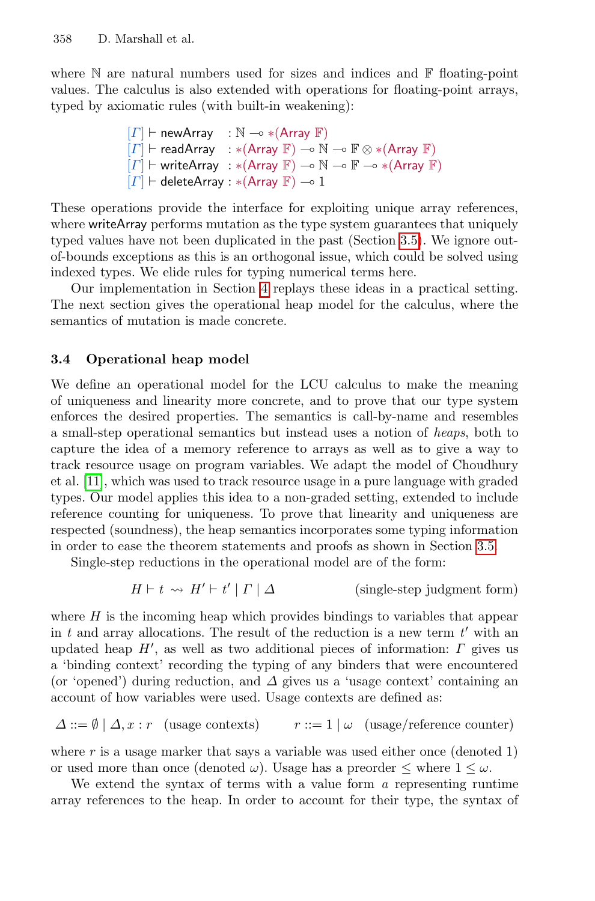where  $\mathbb N$  are natural numbers used for sizes and indices and  $\mathbb F$  floating-point values. The calculus is also extended with operations for floating-point arrays, typed by axiomatic rules (with built-in weakening):

| $[T] \vdash \text{newArray} : \mathbb{N} \multimap * (Array \mathbb{F})$                                                                 |
|------------------------------------------------------------------------------------------------------------------------------------------|
| $[T] \vdash \text{readArray} : *(Array \mathbb{F}) \rightarrow \mathbb{N} \rightarrow \mathbb{F} \otimes * (Array \mathbb{F})$           |
| $\Gamma$ $\Gamma$ $\vdash$ writeArray : *(Array $\mathbb{F}$ ) $\multimap$ N $\multimap$ $\mathbb{F}$ $\multimap$ *(Array $\mathbb{F}$ ) |
| $\lceil \Gamma \rceil$ $\vdash$ deleteArray : * (Array $\mathbb{F}$ ) $\multimap$ 1                                                      |

These operations provide the interface for exploiting unique array references, where writeArray performs mutation as the type system guarantees that uniquely typed values have not been duplicated in the past (Section [3.5\)](#page-15-0). We ignore outof-bounds exceptions as this is an orthogonal issue, which could be solved using indexed types. We elide rules for typing numerical terms here.

Our implementation in Section [4](#page-17-0) replays these ideas in a practical setting. The next section gives the operational heap model for the calculus, where the semantics of mutation is made concrete.

## <span id="page-12-0"></span>3.4 Operational heap model

We define an operational model for the LCU calculus to make the meaning of uniqueness and linearity more concrete, and to prove that our type system enforces the desired properties. The semantics is call-by-name and resembles a small-step operational semantics but instead uses a notion of heaps, both to capture the idea of a memory reference to arrays as well as to give a way to track resource usage on program variables. We adapt the model of Choudhury et al. [\[11\]](#page-25-6), which was used to track resource usage in a pure language with graded types. Our model applies this idea to a non-graded setting, extended to include reference counting for uniqueness. To prove that linearity and uniqueness are respected (soundness), the heap semantics incorporates some typing information in order to ease the theorem statements and proofs as shown in Section [3.5.](#page-15-0)

Single-step reductions in the operational model are of the form:

$$
H \vdash t \leadsto H' \vdash t' \mid \Gamma \mid \Delta \qquad \qquad \text{(single-step judgment form)}
$$

where  $H$  is the incoming heap which provides bindings to variables that appear in t and array allocations. The result of the reduction is a new term  $t'$  with an updated heap  $H'$ , as well as two additional pieces of information:  $\Gamma$  gives us a 'binding context' recording the typing of any binders that were encountered (or 'opened') during reduction, and  $\Delta$  gives us a 'usage context' containing an account of how variables were used. Usage contexts are defined as:

$$
\Delta ::= \emptyset \mid \Delta, x : r \quad \text{(usage contexts)} \qquad r ::= 1 \mid \omega \quad \text{(usage/reference counter)}
$$

where r is a usage marker that says a variable was used either once (denoted 1) or used more than once (denoted  $\omega$ ). Usage has a preorder  $\leq$  where  $1 \leq \omega$ .

We extend the syntax of terms with a value form  $a$  representing runtime array references to the heap. In order to account for their type, the syntax of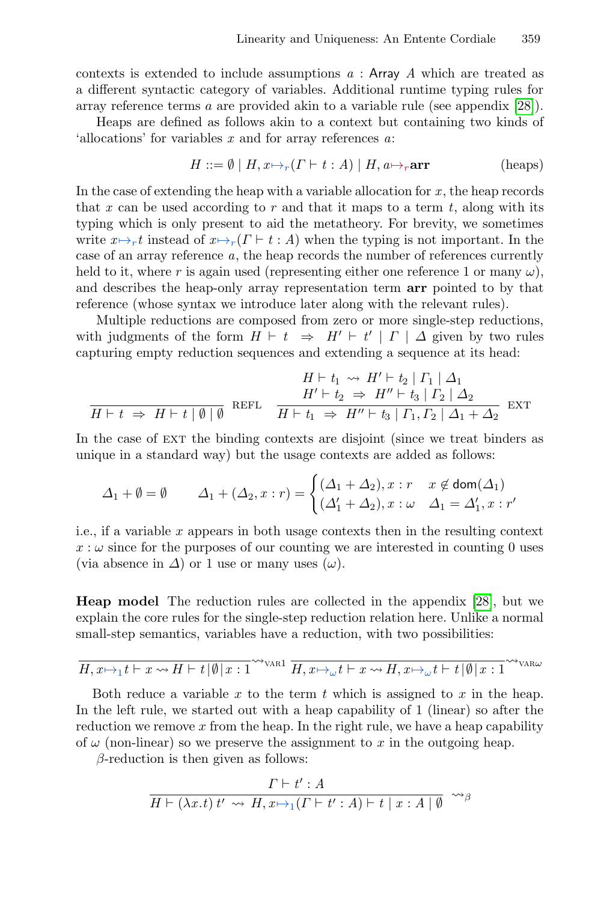contexts is extended to include assumptions a : Array A which are treated as a different syntactic category of variables. Additional runtime typing rules for array reference terms a are provided akin to a variable rule (see appendix [\[28\]](#page-27-4)).

Heaps are defined as follows akin to a context but containing two kinds of 'allocations' for variables x and for array references a:

$$
H ::= \emptyset \mid H, x \mapsto_r (\Gamma \vdash t : A) \mid H, a \mapsto_r \text{arr} \tag{heaps}
$$

In the case of extending the heap with a variable allocation for  $x$ , the heap records that x can be used according to r and that it maps to a term  $t$ , along with its typing which is only present to aid the metatheory. For brevity, we sometimes write  $x \mapsto_{r} t$  instead of  $x \mapsto_{r}(F \vdash t : A)$  when the typing is not important. In the case of an array reference a, the heap records the number of references currently held to it, where r is again used (representing either one reference 1 or many  $\omega$ ), and describes the heap-only array representation term arr pointed to by that reference (whose syntax we introduce later along with the relevant rules).

Multiple reductions are composed from zero or more single-step reductions, with judgments of the form  $H \vdash t \Rightarrow H' \vdash t' | T | \Delta$  given by two rules capturing empty reduction sequences and extending a sequence at its head:

$$
\frac{H\vdash t_1 \rightsquigarrow H'\vdash t_2 \mid \varGamma_1 \mid \varDelta_1}{H\vdash t \Rightarrow H\vdash t \mid \emptyset \mid \emptyset} \text{REFL} \quad \frac{H'\vdash t_2 \Rightarrow H''\vdash t_3 \mid \varGamma_2 \mid \varDelta_2}{H\vdash t_1 \Rightarrow H''\vdash t_3 \mid \varGamma_1, \varGamma_2 \mid \varDelta_1 + \varDelta_2} \text{EXT}
$$

In the case of EXT the binding contexts are disjoint (since we treat binders as unique in a standard way) but the usage contexts are added as follows:

$$
\Delta_1 + \emptyset = \emptyset \qquad \Delta_1 + (\Delta_2, x : r) = \begin{cases} (\Delta_1 + \Delta_2), x : r & x \notin \text{dom}(\Delta_1) \\ (\Delta'_1 + \Delta_2), x : \omega & \Delta_1 = \Delta'_1, x : r' \end{cases}
$$

i.e., if a variable  $x$  appears in both usage contexts then in the resulting context  $x : \omega$  since for the purposes of our counting we are interested in counting 0 uses (via absence in  $\Delta$ ) or 1 use or many uses  $(\omega)$ .

Heap model The reduction rules are collected in the appendix [\[28\]](#page-27-4), but we explain the core rules for the single-step reduction relation here. Unlike a normal small-step semantics, variables have a reduction, with two possibilities:

$$
\overline{H,x\mapsto_1 t\vdash x\leadsto H\vdash t\,|\,\emptyset\,|\,x:1}\leadsto_{\mathrm{VAR}1}\overline{H,x\mapsto_\omega t\vdash x\leadsto H,x\mapsto_\omega t\vdash t\,|\,\emptyset\,|\,x:1}\leadsto_{\mathrm{VAR}\,\omega}
$$

Both reduce a variable x to the term t which is assigned to x in the heap. In the left rule, we started out with a heap capability of 1 (linear) so after the reduction we remove  $x$  from the heap. In the right rule, we have a heap capability of  $\omega$  (non-linear) so we preserve the assignment to x in the outgoing heap.

 $\beta$ -reduction is then given as follows:

$$
\frac{\Gamma\vdash t': A}{H\vdash (\lambda x.t)\ t'\ \leadsto\ H, x\mapsto_1(\Gamma\vdash t': A)\vdash t\mid x:A\mid\emptyset}\ \leadsto_\beta
$$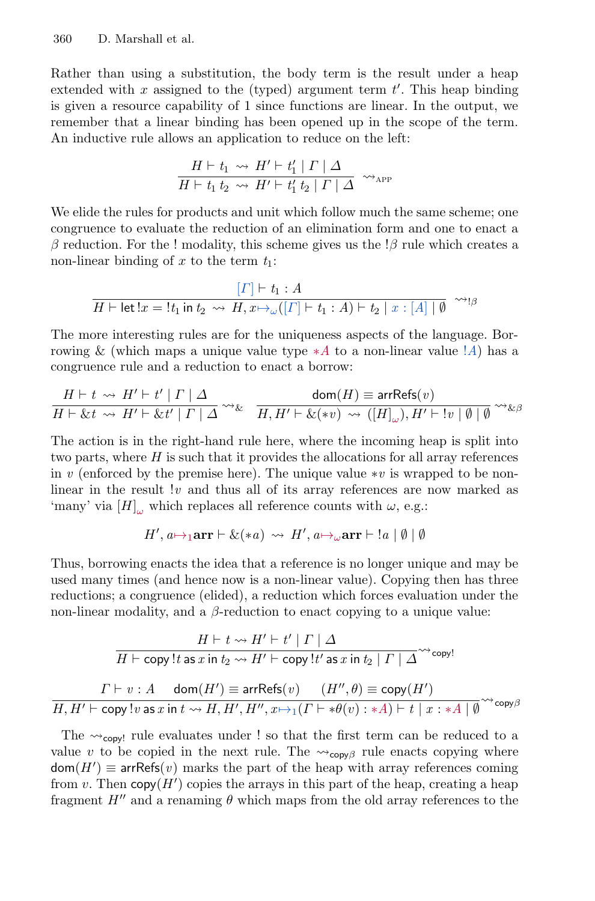Rather than using a substitution, the body term is the result under a heap extended with  $x$  assigned to the (typed) argument term  $t'$ . This heap binding is given a resource capability of 1 since functions are linear. In the output, we remember that a linear binding has been opened up in the scope of the term. An inductive rule allows an application to reduce on the left:

$$
\frac{H\vdash t_1 \rightsquigarrow H'\vdash t_1'\mid \Gamma\mid \Delta}{H\vdash t_1 \ t_2 \rightsquigarrow H'\vdash t_1' \ t_2\mid \Gamma\mid \Delta} \rightsquigarrow_{\text{APP}}
$$

We elide the rules for products and unit which follow much the same scheme; one congruence to evaluate the reduction of an elimination form and one to enact a β reduction. For the ! modality, this scheme gives us the  $\beta$  rule which creates a non-linear binding of x to the term  $t_1$ :

$$
\frac{[\Gamma] \vdash t_1 : A}{H \vdash \text{let} \, !x = !t_1 \, \text{in} \, t_2 \, \leadsto \, H, x \mapsto_{\omega}([\Gamma] \vdash t_1 : A) \vdash t_2 \mid x : [A] \mid \emptyset} \sim_{! \beta}
$$

The more interesting rules are for the uniqueness aspects of the language. Borrowing & (which maps a unique value type  $*A$  to a non-linear value  $:A$ ) has a congruence rule and a reduction to enact a borrow:

$$
\dfrac{H\vdash t\; \rightsquigarrow \; H'\vdash t'\mid \Gamma\mid \varDelta}{H\vdash \&\; t\;\rightsquigarrow\; H'\vdash \&\; t'\mid \Gamma\mid \varDelta} \; \rightsquigarrow_{\&} \quad \dfrac{\mathsf{dom}(H)\equiv \mathsf{arrRefs}(v)}{H,H'\vdash \&(\ast v)\; \rightsquigarrow\; ([H]_\omega), H'\vdash !v\mid \emptyset\mid \emptyset} \leadsto_{\&\beta}
$$

The action is in the right-hand rule here, where the incoming heap is split into two parts, where H is such that it provides the allocations for all array references in v (enforced by the premise here). The unique value  $*v$  is wrapped to be nonlinear in the result  $\alpha$  and thus all of its array references are now marked as 'many' via  $[H]_{\omega}$  which replaces all reference counts with  $\omega$ , e.g.:

$$
H', a \mapsto_1 \mathbf{arr} \vdash \& (\ast a) \leadsto H', a \mapsto_\omega \mathbf{arr} \vdash !a \mid \emptyset \mid \emptyset
$$

Thus, borrowing enacts the idea that a reference is no longer unique and may be used many times (and hence now is a non-linear value). Copying then has three reductions; a congruence (elided), a reduction which forces evaluation under the non-linear modality, and a  $\beta$ -reduction to enact copying to a unique value:

$$
H \vdash t \leadsto H' \vdash t' \mid \Gamma \mid \Delta
$$
  
\n
$$
\overline{H \vdash \text{copy}!t \text{ as } x \text{ in } t_2 \leadsto H' \vdash \text{copy}!t' \text{ as } x \text{ in } t_2 \mid \Gamma \mid \Delta}^{\sim\sim} \text{copy}!}
$$
  
\n
$$
\Gamma \vdash v : A \quad \text{dom}(H') \equiv \text{arrRefs}(v) \quad (H'', \theta) \equiv \text{copy}(H')
$$
  
\n
$$
\overline{H, H' \vdash \text{copy}!v \text{ as } x \text{ in } t \leadsto H, H', H'', x \mapsto_1(\Gamma \vdash * \theta(v) : *A) \vdash t \mid x : *A \mid \emptyset}^{\sim\sim} \text{copy}\beta
$$

The  $\rightsquigarrow_{\text{copy!}}$  rule evaluates under ! so that the first term can be reduced to a value v to be copied in the next rule. The  $\leadsto_{\text{conv}\beta}$  rule enacts copying where  $\textsf{dom}(H') \equiv \textsf{arrRefs}(v)$  marks the part of the heap with array references coming from v. Then  $\text{copy}(H')$  copies the arrays in this part of the heap, creating a heap fragment  $H''$  and a renaming  $\theta$  which maps from the old array references to the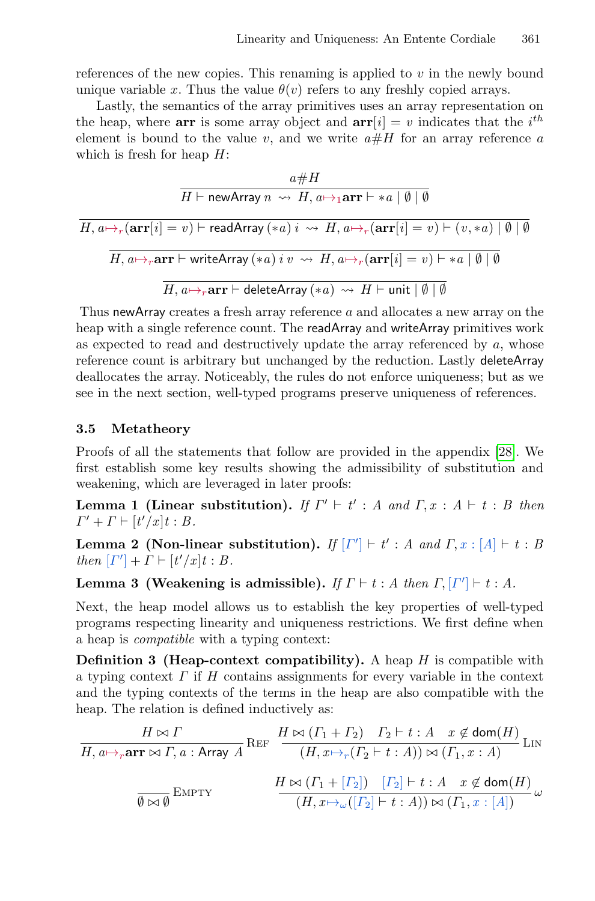references of the new copies. This renaming is applied to  $v$  in the newly bound unique variable x. Thus the value  $\theta(v)$  refers to any freshly copied arrays.

Lastly, the semantics of the array primitives uses an array representation on the heap, where **arr** is some array object and  $\operatorname{arr}[i] = v$  indicates that the  $i^{th}$ element is bound to the value v, and we write  $a \# H$  for an array reference a which is fresh for heap  $H$ :

$$
\cfrac{a\#H}{H\vdash \text{newArray } n \rightsquigarrow H, a\mapsto_1 \text{arr} \vdash *a\mid \emptyset\mid \emptyset}
$$
\n
$$
\cfrac{H, a\mapsto_r (\text{arr}[i] = v)\vdash \text{readArray } (*a)\ i \rightsquigarrow H, a\mapsto_r (\text{arr}[i] = v)\vdash (v, *a)\mid \emptyset\mid \emptyset}
$$
\n
$$
\cfrac{H, a\mapsto_r \text{arr} \vdash \text{writeArray } (*a)\ i\ v \rightsquigarrow H, a\mapsto_r (\text{arr}[i] = v)\vdash *a\mid \emptyset\mid \emptyset}{H, a\mapsto_r \text{arr} \vdash \text{deleteArray }(*a)\ \rightsquigarrow H\vdash \text{unit}\mid \emptyset\mid \emptyset}
$$

Thus newArray creates a fresh array reference  $a$  and allocates a new array on the heap with a single reference count. The readArray and writeArray primitives work as expected to read and destructively update the array referenced by  $a$ , whose reference count is arbitrary but unchanged by the reduction. Lastly deleteArray deallocates the array. Noticeably, the rules do not enforce uniqueness; but as we see in the next section, well-typed programs preserve uniqueness of references.

## <span id="page-15-0"></span>3.5 Metatheory

Proofs of all the statements that follow are provided in the appendix [\[28\]](#page-27-4). We first establish some key results showing the admissibility of substitution and weakening, which are leveraged in later proofs:

**Lemma 1 (Linear substitution).** If  $\Gamma' \vdash t' : A$  and  $\Gamma, x : A \vdash t : B$  then  $\Gamma' + \Gamma \vdash [t'/x]t : B.$ 

**Lemma 2 (Non-linear substitution).** If  $[I'] \vdash t' : A$  and  $\Gamma, x : [A] \vdash t : B$ then  $[\Gamma'] + \Gamma \vdash [t'/x]t : B$ .

Lemma 3 (Weakening is admissible). If  $\Gamma \vdash t : A$  then  $\Gamma, [\Gamma'] \vdash t : A$ .

Next, the heap model allows us to establish the key properties of well-typed programs respecting linearity and uniqueness restrictions. We first define when a heap is compatible with a typing context:

**Definition 3 (Heap-context compatibility).** A heap  $H$  is compatible with a typing context  $\Gamma$  if  $H$  contains assignments for every variable in the context and the typing contexts of the terms in the heap are also compatible with the heap. The relation is defined inductively as:

$$
\frac{H \bowtie \Gamma}{H, a \mapsto_r \text{arr} \bowtie I, a : \text{Array } A} \text{REF} \quad \frac{H \bowtie (I_1 + I_2) \quad I_2 \vdash t : A \quad x \notin \text{dom}(H)}{(H, x \mapsto_r (I_2 \vdash t : A)) \bowtie (I_1, x : A)} \text{LIN}
$$
\n
$$
\frac{H \bowtie (I_1 + [I_2]) \quad [I_2] \vdash t : A \quad x \notin \text{dom}(H)}{(H, x \mapsto_\omega ([I_2] \vdash t : A)) \bowtie (I_1, x : [A])} \omega
$$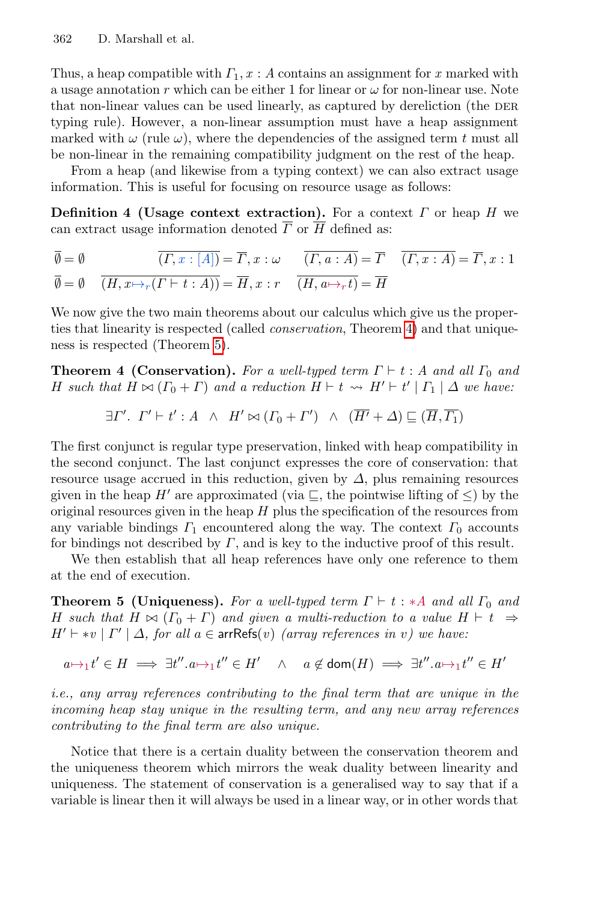Thus, a heap compatible with  $\Gamma_1, x : A$  contains an assignment for x marked with a usage annotation r which can be either 1 for linear or  $\omega$  for non-linear use. Note that non-linear values can be used linearly, as captured by dereliction (the DER typing rule). However, a non-linear assumption must have a heap assignment marked with  $\omega$  (rule  $\omega$ ), where the dependencies of the assigned term t must all be non-linear in the remaining compatibility judgment on the rest of the heap.

From a heap (and likewise from a typing context) we can also extract usage information. This is useful for focusing on resource usage as follows:

**Definition 4 (Usage context extraction).** For a context  $\Gamma$  or heap  $H$  we can extract usage information denoted  $\overline{\Gamma}$  or  $\overline{H}$  defined as:

$$
\overline{\emptyset} = \emptyset \qquad \qquad \overline{(I, x : [A])} = \overline{\Gamma}, x : \omega \qquad \overline{(I, a : A)} = \overline{\Gamma} \qquad \overline{(I, x : A)} = \overline{\Gamma}, x : 1
$$

$$
\overline{\emptyset} = \emptyset \qquad \overline{(H, x \mapsto_r (I \vdash t : A))} = \overline{H}, x : r \qquad \overline{(H, a \mapsto_r t)} = \overline{H}
$$

We now give the two main theorems about our calculus which give us the properties that linearity is respected (called conservation, Theorem [4\)](#page-16-0) and that uniqueness is respected (Theorem [5\)](#page-16-1).

**Theorem 4 (Conservation).** For a well-typed term  $\Gamma \vdash t : A$  and all  $\Gamma_0$  and H such that  $H \bowtie ( \Gamma_0 + \Gamma )$  and a reduction  $H \vdash t \leadsto H' \vdash t' \mid \Gamma_1 \mid \Delta$  we have:

<span id="page-16-0"></span>
$$
\exists \Gamma'. \ \Gamma' \vdash t' : A \ \land \ H' \bowtie ( \Gamma_0 + \Gamma' ) \ \land \ (\overline{H'} + \Delta) \sqsubseteq (\overline{H}, \overline{\Gamma_1})
$$

The first conjunct is regular type preservation, linked with heap compatibility in the second conjunct. The last conjunct expresses the core of conservation: that resource usage accrued in this reduction, given by  $\Delta$ , plus remaining resources given in the heap H' are approximated (via  $\subseteq$ , the pointwise lifting of  $\leq$ ) by the original resources given in the heap  $H$  plus the specification of the resources from any variable bindings  $\Gamma_1$  encountered along the way. The context  $\Gamma_0$  accounts for bindings not described by  $\Gamma$ , and is key to the inductive proof of this result.

<span id="page-16-1"></span>We then establish that all heap references have only one reference to them at the end of execution.

**Theorem 5 (Uniqueness).** For a well-typed term  $\Gamma \vdash t : *A$  and all  $\Gamma_0$  and H such that  $H \bowtie (F_0 + F)$  and given a multi-reduction to a value  $H \vdash t \Rightarrow$  $H' \vdash *v \mid \Gamma' \mid \Delta$ , for all  $a \in \text{arrRefs}(v)$  (array references in v) we have:

$$
a{\mapsto_1}t'\in H\implies \exists t''.a{\mapsto_1}t''\in H'\quad \wedge\quad a\not\in {\rm dom}(H)\implies \exists t''.a{\mapsto_1}t''\in H'
$$

i.e., any array references contributing to the final term that are unique in the incoming heap stay unique in the resulting term, and any new array references contributing to the final term are also unique.

Notice that there is a certain duality between the conservation theorem and the uniqueness theorem which mirrors the weak duality between linearity and uniqueness. The statement of conservation is a generalised way to say that if a variable is linear then it will always be used in a linear way, or in other words that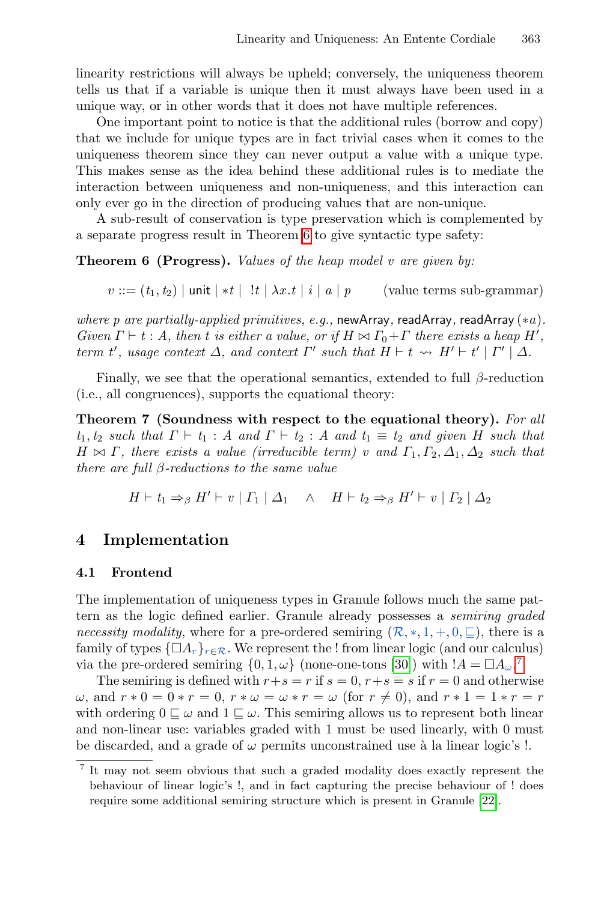linearity restrictions will always be upheld; conversely, the uniqueness theorem tells us that if a variable is unique then it must always have been used in a unique way, or in other words that it does not have multiple references.

One important point to notice is that the additional rules (borrow and copy) that we include for unique types are in fact trivial cases when it comes to the uniqueness theorem since they can never output a value with a unique type. This makes sense as the idea behind these additional rules is to mediate the interaction between uniqueness and non-uniqueness, and this interaction can only ever go in the direction of producing values that are non-unique.

A sub-result of conservation is type preservation which is complemented by a separate progress result in Theorem [6](#page-17-1) to give syntactic type safety:

**Theorem 6 (Progress).** Values of the heap model v are given by:

<span id="page-17-1"></span> $v ::= (t_1, t_2) |$  unit  $| *t |$   $!t | \lambda x. t | i | a | p$  (value terms sub-grammar)

where p are partially-applied primitives, e.g., newArray, readArray, readArray ( $*$ a). Given  $\Gamma \vdash t : A$ , then t is either a value, or if  $H \bowtie \Gamma_0 + \Gamma$  there exists a heap  $H',$ term t', usage context  $\Delta$ , and context  $\Gamma'$  such that  $H \vdash t \leadsto H' \vdash t' \mid \Gamma' \mid \Delta$ .

Finally, we see that the operational semantics, extended to full  $\beta$ -reduction (i.e., all congruences), supports the equational theory:

Theorem 7 (Soundness with respect to the equational theory). For all  $t_1, t_2$  such that  $\Gamma \vdash t_1 : A$  and  $\Gamma \vdash t_2 : A$  and  $t_1 \equiv t_2$  and given H such that  $H \bowtie \Gamma$ , there exists a value (irreducible term) v and  $\Gamma_1, \Gamma_2, \Delta_1, \Delta_2$  such that there are full β-reductions to the same value

 $H \vdash t_1 \Rightarrow_\beta H' \vdash v \mid \Gamma_1 \mid \Delta_1 \quad \wedge \quad H \vdash t_2 \Rightarrow_\beta H' \vdash v \mid \Gamma_2 \mid \Delta_2$ 

## <span id="page-17-0"></span>4 Implementation

#### <span id="page-17-3"></span>4.1 Frontend

The implementation of uniqueness types in Granule follows much the same pattern as the logic defined earlier. Granule already possesses a semiring graded necessity modality, where for a pre-ordered semiring  $(\mathcal{R},*,1,+,0,\sqsubseteq)$ , there is a family of types  $\{\Box A_r\}_{r \in \mathcal{R}}$ . We represent the ! from linear logic (and our calculus) via the pre-ordered semiring  $\{0, 1, \omega\}$  (none-one-tons [\[30\]](#page-27-9)) with  $A = \Box A_{\omega}$ .

The semiring is defined with  $r+s=r$  if  $s=0, r+s=s$  if  $r=0$  and otherwise  $\omega$ , and  $r * 0 = 0 * r = 0$ ,  $r * \omega = \omega * r = \omega$  (for  $r \neq 0$ ), and  $r * 1 = 1 * r = r$ with ordering  $0 \sqsubseteq \omega$  and  $1 \sqsubseteq \omega$ . This semiring allows us to represent both linear and non-linear use: variables graded with 1 must be used linearly, with 0 must be discarded, and a grade of  $\omega$  permits unconstrained use à la linear logic's !.

<span id="page-17-2"></span><sup>&</sup>lt;sup>7</sup> It may not seem obvious that such a graded modality does exactly represent the behaviour of linear logic's !, and in fact capturing the precise behaviour of ! does require some additional semiring structure which is present in Granule [\[22\]](#page-26-5).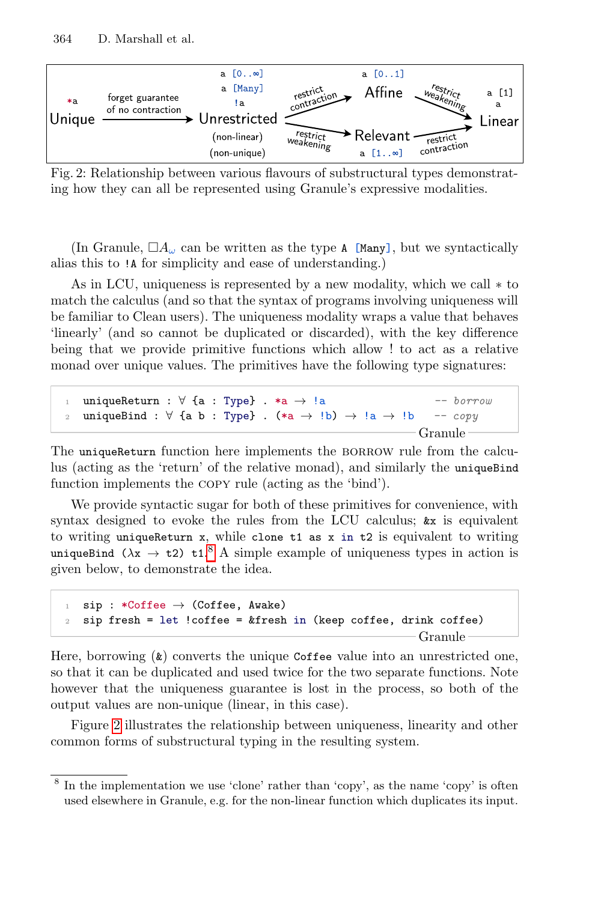<span id="page-18-1"></span>

Fig. 2: Relationship between various flavours of substructural types demonstrating how they can all be represented using Granule's expressive modalities.

(In Granule,  $\Box A_{\omega}$  can be written as the type A [Many], but we syntactically alias this to !A for simplicity and ease of understanding.)

As in LCU, uniqueness is represented by a new modality, which we call ∗ to match the calculus (and so that the syntax of programs involving uniqueness will be familiar to Clean users). The uniqueness modality wraps a value that behaves 'linearly' (and so cannot be duplicated or discarded), with the key difference being that we provide primitive functions which allow ! to act as a relative monad over unique values. The primitives have the following type signatures:

```
Granule
1 uniqueReturn : \forall {a : Type} . *a \rightarrow !a -- borrow
2 uniqueBind : \forall {a b : Type} . (*a \rightarrow 'b) \rightarrow 'a \rightarrow 'b -- copy
```
The uniqueReturn function here implements the borrow rule from the calculus (acting as the 'return' of the relative monad), and similarly the uniqueBind function implements the copy rule (acting as the 'bind').

We provide syntactic sugar for both of these primitives for convenience, with syntax designed to evoke the rules from the LCU calculus;  $\&$ x is equivalent to writing uniqueReturn  $x$ , while clone  $t1$  as  $x$  in  $t2$  is equivalent to writing uniqueBind ( $\lambda x \to z$ ) t1.<sup>[8](#page-18-0)</sup> A simple example of uniqueness types in action is given below, to demonstrate the idea.

```
Granule
_1 sip : *Coffee \rightarrow (Coffee, Awake)
2 sip fresh = let !coffee = kfresh in (keep coffee, drink coffee)
```
Here, borrowing (&) converts the unique Coffee value into an unrestricted one, so that it can be duplicated and used twice for the two separate functions. Note however that the uniqueness guarantee is lost in the process, so both of the output values are non-unique (linear, in this case).

Figure [2](#page-18-1) illustrates the relationship between uniqueness, linearity and other common forms of substructural typing in the resulting system.

<span id="page-18-0"></span><sup>&</sup>lt;sup>8</sup> In the implementation we use 'clone' rather than 'copy', as the name 'copy' is often used elsewhere in Granule, e.g. for the non-linear function which duplicates its input.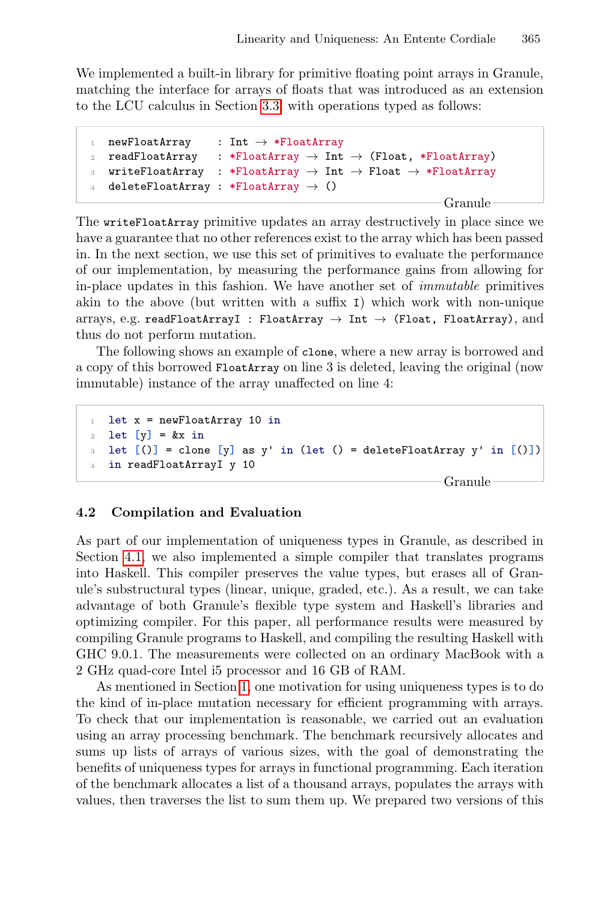We implemented a built-in library for primitive floating point arrays in Granule, matching the interface for arrays of floats that was introduced as an extension to the LCU calculus in Section [3.3,](#page-11-1) with operations typed as follows:

```
Granule
1 newFloatArray : Int \rightarrow *FloatArray
2 readFloatArray : *FloatArray \rightarrow Int \rightarrow (Float, *FloatArray)
3 writeFloatArray : *FloatArray \rightarrow Int \rightarrow Float \rightarrow *FloatArray
4 deleteFloatArray : *FloatArray \rightarrow ()
```
The writeFloatArray primitive updates an array destructively in place since we have a guarantee that no other references exist to the array which has been passed in. In the next section, we use this set of primitives to evaluate the performance of our implementation, by measuring the performance gains from allowing for in-place updates in this fashion. We have another set of immutable primitives akin to the above (but written with a suffix I) which work with non-unique arrays, e.g. readFloatArrayI : FloatArray  $\rightarrow$  Int  $\rightarrow$  (Float, FloatArray), and thus do not perform mutation.

The following shows an example of clone, where a new array is borrowed and a copy of this borrowed FloatArray on line 3 is deleted, leaving the original (now immutable) instance of the array unaffected on line 4:

```
1 let x = newFloatArray 10 in
2 let [y] = kx in
3 let [() = clone [y] as y' in (let () = deleteFloatArray y' in [()])
4 in readFloatArrayI y 10
```
Granule

#### <span id="page-19-0"></span>4.2 Compilation and Evaluation

As part of our implementation of uniqueness types in Granule, as described in Section [4.1,](#page-17-3) we also implemented a simple compiler that translates programs into Haskell. This compiler preserves the value types, but erases all of Granule's substructural types (linear, unique, graded, etc.). As a result, we can take advantage of both Granule's flexible type system and Haskell's libraries and optimizing compiler. For this paper, all performance results were measured by compiling Granule programs to Haskell, and compiling the resulting Haskell with GHC 9.0.1. The measurements were collected on an ordinary MacBook with a 2 GHz quad-core Intel i5 processor and 16 GB of RAM.

As mentioned in Section [1,](#page-0-0) one motivation for using uniqueness types is to do the kind of in-place mutation necessary for efficient programming with arrays. To check that our implementation is reasonable, we carried out an evaluation using an array processing benchmark. The benchmark recursively allocates and sums up lists of arrays of various sizes, with the goal of demonstrating the benefits of uniqueness types for arrays in functional programming. Each iteration of the benchmark allocates a list of a thousand arrays, populates the arrays with values, then traverses the list to sum them up. We prepared two versions of this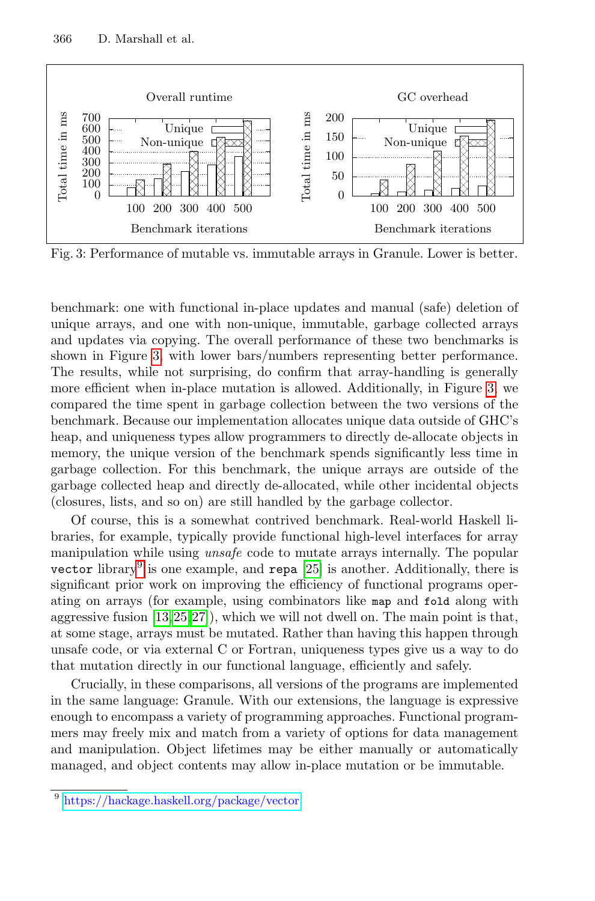<span id="page-20-0"></span>

Fig. 3: Performance of mutable vs. immutable arrays in Granule. Lower is better.

benchmark: one with functional in-place updates and manual (safe) deletion of unique arrays, and one with non-unique, immutable, garbage collected arrays and updates via copying. The overall performance of these two benchmarks is shown in Figure [3,](#page-20-0) with lower bars/numbers representing better performance. The results, while not surprising, do confirm that array-handling is generally more efficient when in-place mutation is allowed. Additionally, in Figure [3,](#page-20-0) we compared the time spent in garbage collection between the two versions of the benchmark. Because our implementation allocates unique data outside of GHC's heap, and uniqueness types allow programmers to directly de-allocate objects in memory, the unique version of the benchmark spends significantly less time in garbage collection. For this benchmark, the unique arrays are outside of the garbage collected heap and directly de-allocated, while other incidental objects (closures, lists, and so on) are still handled by the garbage collector.

Of course, this is a somewhat contrived benchmark. Real-world Haskell libraries, for example, typically provide functional high-level interfaces for array manipulation while using unsafe code to mutate arrays internally. The popular vector library<sup>[9](#page-20-1)</sup> is one example, and repa [\[25\]](#page-26-6) is another. Additionally, there is significant prior work on improving the efficiency of functional programs operating on arrays (for example, using combinators like map and fold along with aggressive fusion [\[13,](#page-25-7)[25,](#page-26-6)[27\]](#page-26-7)), which we will not dwell on. The main point is that, at some stage, arrays must be mutated. Rather than having this happen through unsafe code, or via external C or Fortran, uniqueness types give us a way to do that mutation directly in our functional language, efficiently and safely.

Crucially, in these comparisons, all versions of the programs are implemented in the same language: Granule. With our extensions, the language is expressive enough to encompass a variety of programming approaches. Functional programmers may freely mix and match from a variety of options for data management and manipulation. Object lifetimes may be either manually or automatically managed, and object contents may allow in-place mutation or be immutable.

<span id="page-20-1"></span><sup>9</sup> <https://hackage.haskell.org/package/vector>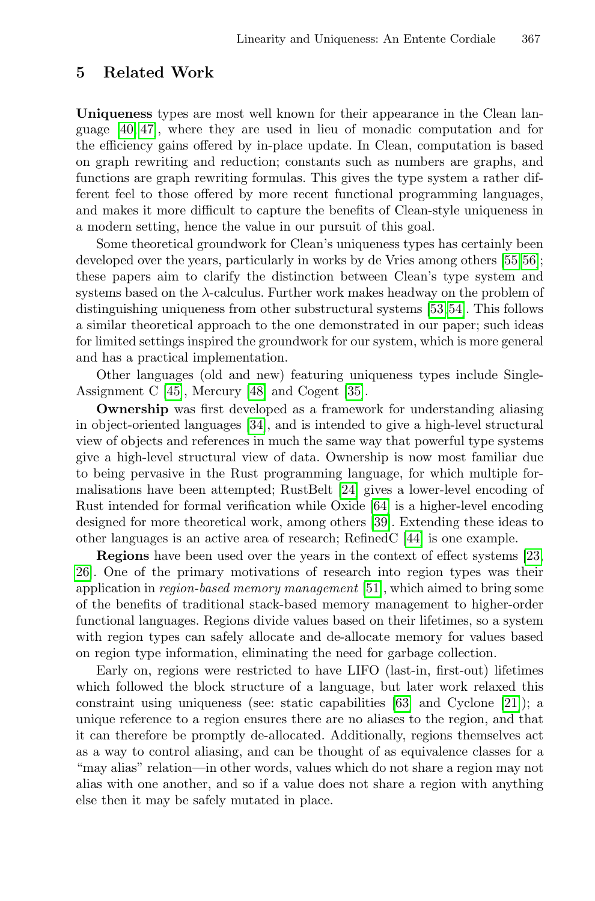## <span id="page-21-0"></span>5 Related Work

Uniqueness types are most well known for their appearance in the Clean language [\[40,](#page-27-3) [47\]](#page-28-0), where they are used in lieu of monadic computation and for the efficiency gains offered by in-place update. In Clean, computation is based on graph rewriting and reduction; constants such as numbers are graphs, and functions are graph rewriting formulas. This gives the type system a rather different feel to those offered by more recent functional programming languages, and makes it more difficult to capture the benefits of Clean-style uniqueness in a modern setting, hence the value in our pursuit of this goal.

Some theoretical groundwork for Clean's uniqueness types has certainly been developed over the years, particularly in works by de Vries among others [\[55,](#page-28-4)[56\]](#page-28-1); these papers aim to clarify the distinction between Clean's type system and systems based on the  $\lambda$ -calculus. Further work makes headway on the problem of distinguishing uniqueness from other substructural systems [\[53,](#page-28-8)[54\]](#page-28-9). This follows a similar theoretical approach to the one demonstrated in our paper; such ideas for limited settings inspired the groundwork for our system, which is more general and has a practical implementation.

Other languages (old and new) featuring uniqueness types include Single-Assignment C [\[45\]](#page-28-2), Mercury [\[48\]](#page-28-3) and Cogent [\[35\]](#page-27-10).

Ownership was first developed as a framework for understanding aliasing in object-oriented languages [\[34\]](#page-27-11), and is intended to give a high-level structural view of objects and references in much the same way that powerful type systems give a high-level structural view of data. Ownership is now most familiar due to being pervasive in the Rust programming language, for which multiple formalisations have been attempted; RustBelt [\[24\]](#page-26-1) gives a lower-level encoding of Rust intended for formal verification while Oxide [\[64\]](#page-29-7) is a higher-level encoding designed for more theoretical work, among others [\[39\]](#page-27-12). Extending these ideas to other languages is an active area of research; RefinedC [\[44\]](#page-28-10) is one example.

Regions have been used over the years in the context of effect systems [\[23,](#page-26-8) [26\]](#page-26-9). One of the primary motivations of research into region types was their application in region-based memory management [\[51\]](#page-28-11), which aimed to bring some of the benefits of traditional stack-based memory management to higher-order functional languages. Regions divide values based on their lifetimes, so a system with region types can safely allocate and de-allocate memory for values based on region type information, eliminating the need for garbage collection.

Early on, regions were restricted to have LIFO (last-in, first-out) lifetimes which followed the block structure of a language, but later work relaxed this constraint using uniqueness (see: static capabilities [\[63\]](#page-29-8) and Cyclone [\[21\]](#page-26-10)); a unique reference to a region ensures there are no aliases to the region, and that it can therefore be promptly de-allocated. Additionally, regions themselves act as a way to control aliasing, and can be thought of as equivalence classes for a "may alias" relation—in other words, values which do not share a region may not alias with one another, and so if a value does not share a region with anything else then it may be safely mutated in place.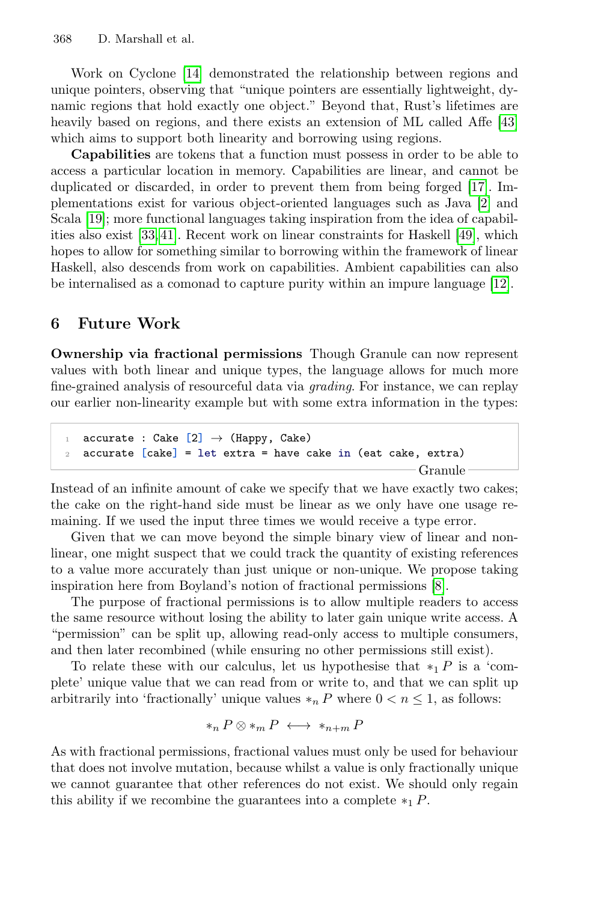Work on Cyclone [\[14\]](#page-26-11) demonstrated the relationship between regions and unique pointers, observing that "unique pointers are essentially lightweight, dynamic regions that hold exactly one object." Beyond that, Rust's lifetimes are heavily based on regions, and there exists an extension of ML called Affe [\[43\]](#page-27-13) which aims to support both linearity and borrowing using regions.

Capabilities are tokens that a function must possess in order to be able to access a particular location in memory. Capabilities are linear, and cannot be duplicated or discarded, in order to prevent them from being forged [\[17\]](#page-26-12). Implementations exist for various object-oriented languages such as Java [\[2\]](#page-25-8) and Scala [\[19\]](#page-26-13); more functional languages taking inspiration from the idea of capabilities also exist [\[33,](#page-27-0) [41\]](#page-27-14). Recent work on linear constraints for Haskell [\[49\]](#page-28-12), which hopes to allow for something similar to borrowing within the framework of linear Haskell, also descends from work on capabilities. Ambient capabilities can also be internalised as a comonad to capture purity within an impure language [\[12\]](#page-25-9).

# <span id="page-22-0"></span>6 Future Work

Ownership via fractional permissions Though Granule can now represent values with both linear and unique types, the language allows for much more fine-grained analysis of resourceful data via grading. For instance, we can replay our earlier non-linearity example but with some extra information in the types:

```
Granule
1 accurate : Cake [2] \rightarrow (Happy, Cake)
2 accurate [case] = let extra = have cake in (eat cake, extra)
```
Instead of an infinite amount of cake we specify that we have exactly two cakes; the cake on the right-hand side must be linear as we only have one usage remaining. If we used the input three times we would receive a type error.

Given that we can move beyond the simple binary view of linear and nonlinear, one might suspect that we could track the quantity of existing references to a value more accurately than just unique or non-unique. We propose taking inspiration here from Boyland's notion of fractional permissions [\[8\]](#page-25-10).

The purpose of fractional permissions is to allow multiple readers to access the same resource without losing the ability to later gain unique write access. A "permission" can be split up, allowing read-only access to multiple consumers, and then later recombined (while ensuring no other permissions still exist).

To relate these with our calculus, let us hypothesise that  $*_1 P$  is a 'complete' unique value that we can read from or write to, and that we can split up arbitrarily into 'fractionally' unique values  $*_n P$  where  $0 < n \leq 1$ , as follows:

$$
*_n P \otimes *_m P \iff *_{n+m} P
$$

As with fractional permissions, fractional values must only be used for behaviour that does not involve mutation, because whilst a value is only fractionally unique we cannot guarantee that other references do not exist. We should only regain this ability if we recombine the guarantees into a complete  $*_1 P$ .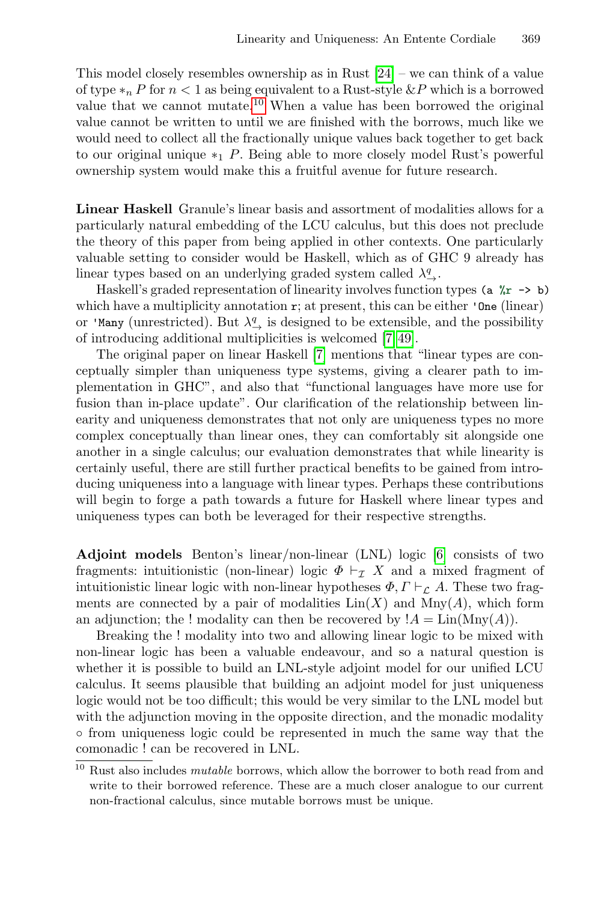This model closely resembles ownership as in Rust  $[24]$  – we can think of a value of type  $*_n P$  for  $n < 1$  as being equivalent to a Rust-style  $\& P$  which is a borrowed value that we cannot mutate.[10](#page-23-0) When a value has been borrowed the original value cannot be written to until we are finished with the borrows, much like we would need to collect all the fractionally unique values back together to get back to our original unique  $*_1$  P. Being able to more closely model Rust's powerful ownership system would make this a fruitful avenue for future research.

Linear Haskell Granule's linear basis and assortment of modalities allows for a particularly natural embedding of the LCU calculus, but this does not preclude the theory of this paper from being applied in other contexts. One particularly valuable setting to consider would be Haskell, which as of GHC 9 already has linear types based on an underlying graded system called  $\lambda^q_{\rightarrow}.$ 

Haskell's graded representation of linearity involves function types (a  $\chi$ -> b) which have a multiplicity annotation  $r$ ; at present, this can be either 'One (linear) or 'Many (unrestricted). But  $\lambda_{\rightarrow}^{q}$  is designed to be extensible, and the possibility of introducing additional multiplicities is welcomed [\[7,](#page-25-1) [49\]](#page-28-12).

The original paper on linear Haskell [\[7\]](#page-25-1) mentions that "linear types are conceptually simpler than uniqueness type systems, giving a clearer path to implementation in GHC", and also that "functional languages have more use for fusion than in-place update". Our clarification of the relationship between linearity and uniqueness demonstrates that not only are uniqueness types no more complex conceptually than linear ones, they can comfortably sit alongside one another in a single calculus; our evaluation demonstrates that while linearity is certainly useful, there are still further practical benefits to be gained from introducing uniqueness into a language with linear types. Perhaps these contributions will begin to forge a path towards a future for Haskell where linear types and uniqueness types can both be leveraged for their respective strengths.

Adjoint models Benton's linear/non-linear (LNL) logic [\[6\]](#page-25-11) consists of two fragments: intuitionistic (non-linear) logic  $\Phi \vdash_{\mathcal{I}} X$  and a mixed fragment of intuitionistic linear logic with non-linear hypotheses  $\Phi, \Gamma \vdash_{\mathcal{L}} A$ . These two fragments are connected by a pair of modalities  $\text{Lin}(X)$  and  $\text{Mny}(A)$ , which form an adjunction; the ! modality can then be recovered by  $!A = \text{Lin}(\text{Mny}(A)).$ 

Breaking the ! modality into two and allowing linear logic to be mixed with non-linear logic has been a valuable endeavour, and so a natural question is whether it is possible to build an LNL-style adjoint model for our unified LCU calculus. It seems plausible that building an adjoint model for just uniqueness logic would not be too difficult; this would be very similar to the LNL model but with the adjunction moving in the opposite direction, and the monadic modality ◦ from uniqueness logic could be represented in much the same way that the comonadic ! can be recovered in LNL.

<span id="page-23-0"></span>Rust also includes *mutable* borrows, which allow the borrower to both read from and write to their borrowed reference. These are a much closer analogue to our current non-fractional calculus, since mutable borrows must be unique.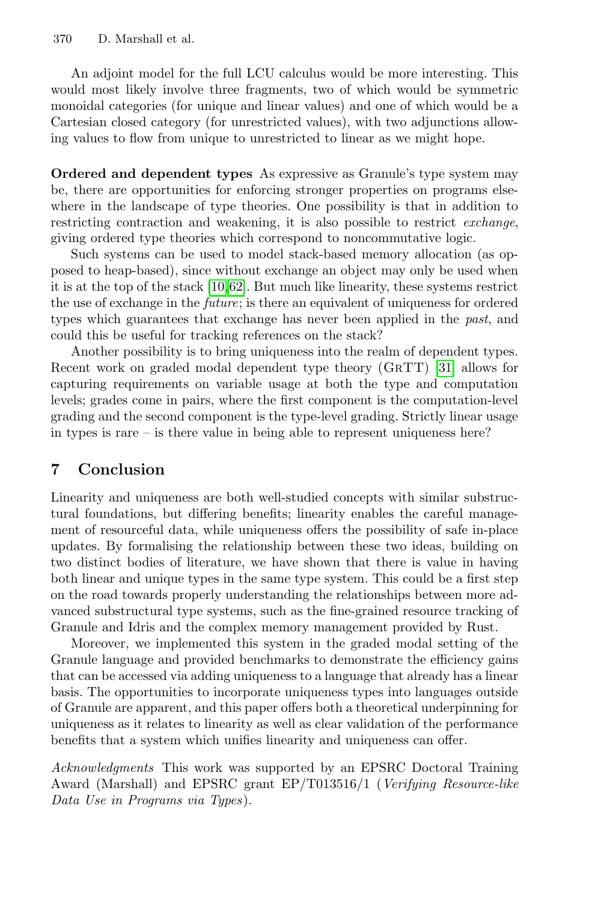An adjoint model for the full LCU calculus would be more interesting. This would most likely involve three fragments, two of which would be symmetric monoidal categories (for unique and linear values) and one of which would be a Cartesian closed category (for unrestricted values), with two adjunctions allowing values to flow from unique to unrestricted to linear as we might hope.

Ordered and dependent types As expressive as Granule's type system may be, there are opportunities for enforcing stronger properties on programs elsewhere in the landscape of type theories. One possibility is that in addition to restricting contraction and weakening, it is also possible to restrict exchange, giving ordered type theories which correspond to noncommutative logic.

Such systems can be used to model stack-based memory allocation (as opposed to heap-based), since without exchange an object may only be used when it is at the top of the stack [\[10,](#page-25-12)[62\]](#page-29-1). But much like linearity, these systems restrict the use of exchange in the future; is there an equivalent of uniqueness for ordered types which guarantees that exchange has never been applied in the past, and could this be useful for tracking references on the stack?

Another possibility is to bring uniqueness into the realm of dependent types. Recent work on graded modal dependent type theory (GrTT) [\[31\]](#page-27-15) allows for capturing requirements on variable usage at both the type and computation levels; grades come in pairs, where the first component is the computation-level grading and the second component is the type-level grading. Strictly linear usage in types is rare – is there value in being able to represent uniqueness here?

# 7 Conclusion

Linearity and uniqueness are both well-studied concepts with similar substructural foundations, but differing benefits; linearity enables the careful management of resourceful data, while uniqueness offers the possibility of safe in-place updates. By formalising the relationship between these two ideas, building on two distinct bodies of literature, we have shown that there is value in having both linear and unique types in the same type system. This could be a first step on the road towards properly understanding the relationships between more advanced substructural type systems, such as the fine-grained resource tracking of Granule and Idris and the complex memory management provided by Rust.

Moreover, we implemented this system in the graded modal setting of the Granule language and provided benchmarks to demonstrate the efficiency gains that can be accessed via adding uniqueness to a language that already has a linear basis. The opportunities to incorporate uniqueness types into languages outside of Granule are apparent, and this paper offers both a theoretical underpinning for uniqueness as it relates to linearity as well as clear validation of the performance benefits that a system which unifies linearity and uniqueness can offer.

Acknowledgments This work was supported by an EPSRC Doctoral Training Award (Marshall) and EPSRC grant EP/T013516/1 (Verifying Resource-like Data Use in Programs via Types).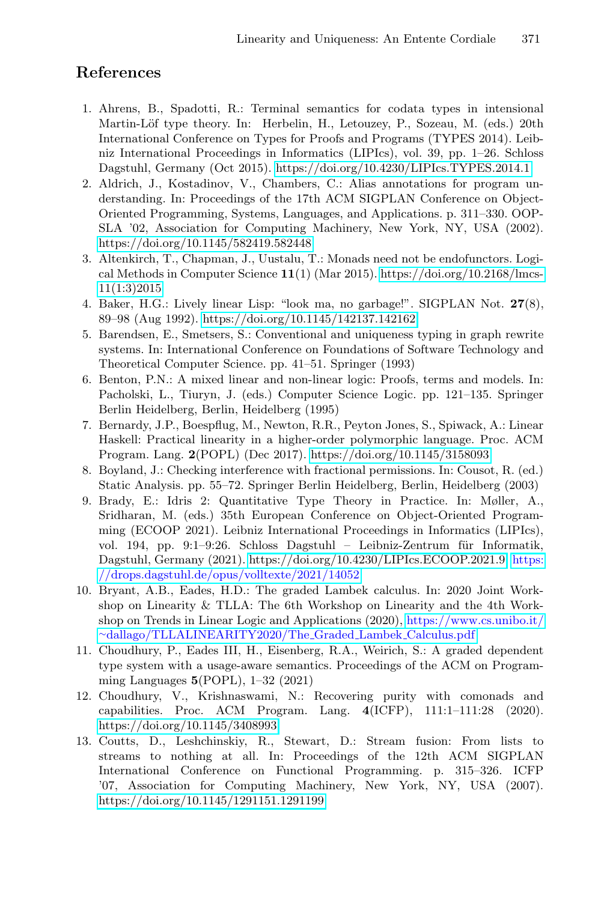## References

- <span id="page-25-5"></span>1. Ahrens, B., Spadotti, R.: Terminal semantics for codata types in intensional Martin-Löf type theory. In: Herbelin, H., Letouzey, P., Sozeau, M. (eds.) 20th International Conference on Types for Proofs and Programs (TYPES 2014). Leibniz International Proceedings in Informatics (LIPIcs), vol. 39, pp. 1–26. Schloss Dagstuhl, Germany (Oct 2015).<https://doi.org/10.4230/LIPIcs.TYPES.2014.1>
- <span id="page-25-8"></span>2. Aldrich, J., Kostadinov, V., Chambers, C.: Alias annotations for program understanding. In: Proceedings of the 17th ACM SIGPLAN Conference on Object-Oriented Programming, Systems, Languages, and Applications. p. 311–330. OOP-SLA '02, Association for Computing Machinery, New York, NY, USA (2002). <https://doi.org/10.1145/582419.582448>
- <span id="page-25-4"></span>3. Altenkirch, T., Chapman, J., Uustalu, T.: Monads need not be endofunctors. Logical Methods in Computer Science  $11(1)$  (Mar 2015). [https://doi.org/10.2168/lmcs-](https://doi.org/10.2168/lmcs-11(1:3)2015)[11\(1:3\)2015](https://doi.org/10.2168/lmcs-11(1:3)2015)
- <span id="page-25-3"></span>4. Baker, H.G.: Lively linear Lisp: "look ma, no garbage!". SIGPLAN Not. 27(8), 89–98 (Aug 1992).<https://doi.org/10.1145/142137.142162>
- <span id="page-25-0"></span>5. Barendsen, E., Smetsers, S.: Conventional and uniqueness typing in graph rewrite systems. In: International Conference on Foundations of Software Technology and Theoretical Computer Science. pp. 41–51. Springer (1993)
- <span id="page-25-11"></span>6. Benton, P.N.: A mixed linear and non-linear logic: Proofs, terms and models. In: Pacholski, L., Tiuryn, J. (eds.) Computer Science Logic. pp. 121–135. Springer Berlin Heidelberg, Berlin, Heidelberg (1995)
- <span id="page-25-1"></span>7. Bernardy, J.P., Boespflug, M., Newton, R.R., Peyton Jones, S., Spiwack, A.: Linear Haskell: Practical linearity in a higher-order polymorphic language. Proc. ACM Program. Lang. 2(POPL) (Dec 2017).<https://doi.org/10.1145/3158093>
- <span id="page-25-10"></span>8. Boyland, J.: Checking interference with fractional permissions. In: Cousot, R. (ed.) Static Analysis. pp. 55–72. Springer Berlin Heidelberg, Berlin, Heidelberg (2003)
- <span id="page-25-2"></span>9. Brady, E.: Idris 2: Quantitative Type Theory in Practice. In: Møller, A., Sridharan, M. (eds.) 35th European Conference on Object-Oriented Programming (ECOOP 2021). Leibniz International Proceedings in Informatics (LIPIcs), vol. 194, pp. 9:1–9:26. Schloss Dagstuhl – Leibniz-Zentrum für Informatik, Dagstuhl, Germany (2021). [https://doi.org/10.4230/LIPIcs.ECOOP.2021.9,](https://doi.org/10.4230/LIPIcs.ECOOP.2021.9) [https:](https://drops.dagstuhl.de/opus/volltexte/2021/14052) [//drops.dagstuhl.de/opus/volltexte/2021/14052](https://drops.dagstuhl.de/opus/volltexte/2021/14052)
- <span id="page-25-12"></span>10. Bryant, A.B., Eades, H.D.: The graded Lambek calculus. In: 2020 Joint Workshop on Linearity & TLLA: The 6th Workshop on Linearity and the 4th Workshop on Trends in Linear Logic and Applications (2020), [https://www.cs.unibo.it/](https://www.cs.unibo.it/~dallago/TLLALINEARITY2020/The_Graded_Lambek_Calculus.pdf) <sup>∼</sup>[dallago/TLLALINEARITY2020/The](https://www.cs.unibo.it/~dallago/TLLALINEARITY2020/The_Graded_Lambek_Calculus.pdf) Graded Lambek Calculus.pdf
- <span id="page-25-6"></span>11. Choudhury, P., Eades III, H., Eisenberg, R.A., Weirich, S.: A graded dependent type system with a usage-aware semantics. Proceedings of the ACM on Programming Languages 5(POPL), 1–32 (2021)
- <span id="page-25-9"></span>12. Choudhury, V., Krishnaswami, N.: Recovering purity with comonads and capabilities. Proc. ACM Program. Lang. 4(ICFP), 111:1–111:28 (2020). <https://doi.org/10.1145/3408993>
- <span id="page-25-7"></span>13. Coutts, D., Leshchinskiy, R., Stewart, D.: Stream fusion: From lists to streams to nothing at all. In: Proceedings of the 12th ACM SIGPLAN International Conference on Functional Programming. p. 315–326. ICFP '07, Association for Computing Machinery, New York, NY, USA (2007). <https://doi.org/10.1145/1291151.1291199>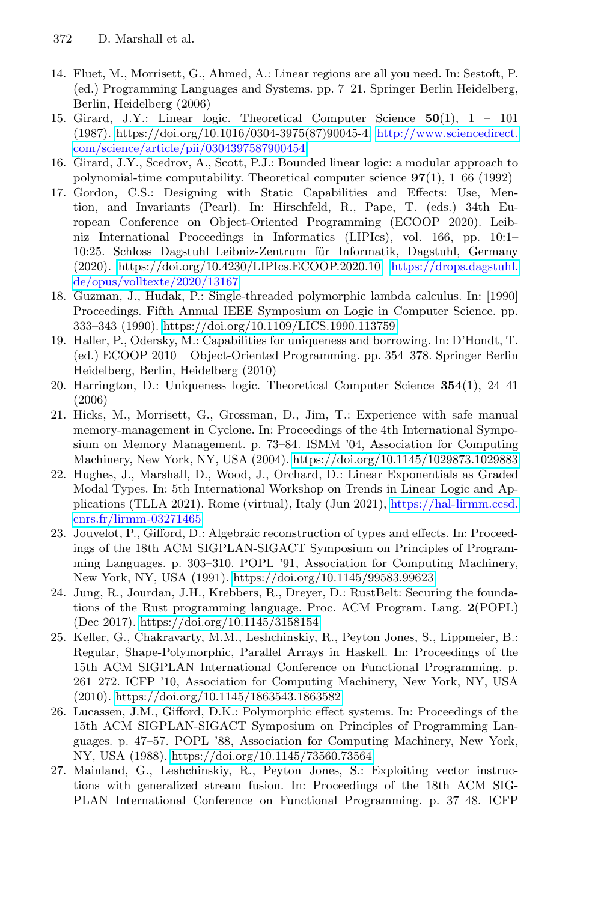- <span id="page-26-11"></span>14. Fluet, M., Morrisett, G., Ahmed, A.: Linear regions are all you need. In: Sestoft, P. (ed.) Programming Languages and Systems. pp. 7–21. Springer Berlin Heidelberg, Berlin, Heidelberg (2006)
- <span id="page-26-0"></span>15. Girard, J.Y.: Linear logic. Theoretical Computer Science  $50(1)$ ,  $1 - 101$ (1987). [https://doi.org/10.1016/0304-3975\(87\)90045-4,](https://doi.org/10.1016/0304-3975(87)90045-4) [http://www.sciencedirect.](http://www.sciencedirect.com/science/article/pii/0304397587900454) [com/science/article/pii/0304397587900454](http://www.sciencedirect.com/science/article/pii/0304397587900454)
- <span id="page-26-4"></span>16. Girard, J.Y., Scedrov, A., Scott, P.J.: Bounded linear logic: a modular approach to polynomial-time computability. Theoretical computer science 97(1), 1–66 (1992)
- <span id="page-26-12"></span>17. Gordon, C.S.: Designing with Static Capabilities and Effects: Use, Mention, and Invariants (Pearl). In: Hirschfeld, R., Pape, T. (eds.) 34th European Conference on Object-Oriented Programming (ECOOP 2020). Leibniz International Proceedings in Informatics (LIPIcs), vol. 166, pp. 10:1– 10:25. Schloss Dagstuhl–Leibniz-Zentrum für Informatik, Dagstuhl, Germany (2020). [https://doi.org/10.4230/LIPIcs.ECOOP.2020.10,](https://doi.org/10.4230/LIPIcs.ECOOP.2020.10) [https://drops.dagstuhl.](https://drops.dagstuhl.de/opus/volltexte/2020/13167) [de/opus/volltexte/2020/13167](https://drops.dagstuhl.de/opus/volltexte/2020/13167)
- <span id="page-26-2"></span>18. Guzman, J., Hudak, P.: Single-threaded polymorphic lambda calculus. In: [1990] Proceedings. Fifth Annual IEEE Symposium on Logic in Computer Science. pp. 333–343 (1990).<https://doi.org/10.1109/LICS.1990.113759>
- <span id="page-26-13"></span>19. Haller, P., Odersky, M.: Capabilities for uniqueness and borrowing. In: D'Hondt, T. (ed.) ECOOP 2010 – Object-Oriented Programming. pp. 354–378. Springer Berlin Heidelberg, Berlin, Heidelberg (2010)
- <span id="page-26-3"></span>20. Harrington, D.: Uniqueness logic. Theoretical Computer Science 354(1), 24–41 (2006)
- <span id="page-26-10"></span>21. Hicks, M., Morrisett, G., Grossman, D., Jim, T.: Experience with safe manual memory-management in Cyclone. In: Proceedings of the 4th International Symposium on Memory Management. p. 73–84. ISMM '04, Association for Computing Machinery, New York, NY, USA (2004).<https://doi.org/10.1145/1029873.1029883>
- <span id="page-26-5"></span>22. Hughes, J., Marshall, D., Wood, J., Orchard, D.: Linear Exponentials as Graded Modal Types. In: 5th International Workshop on Trends in Linear Logic and Applications (TLLA 2021). Rome (virtual), Italy (Jun 2021), [https://hal-lirmm.ccsd.](https://hal-lirmm.ccsd.cnrs.fr/lirmm-03271465) [cnrs.fr/lirmm-03271465](https://hal-lirmm.ccsd.cnrs.fr/lirmm-03271465)
- <span id="page-26-8"></span>23. Jouvelot, P., Gifford, D.: Algebraic reconstruction of types and effects. In: Proceedings of the 18th ACM SIGPLAN-SIGACT Symposium on Principles of Programming Languages. p. 303–310. POPL '91, Association for Computing Machinery, New York, NY, USA (1991).<https://doi.org/10.1145/99583.99623>
- <span id="page-26-1"></span>24. Jung, R., Jourdan, J.H., Krebbers, R., Dreyer, D.: RustBelt: Securing the foundations of the Rust programming language. Proc. ACM Program. Lang. 2(POPL) (Dec 2017).<https://doi.org/10.1145/3158154>
- <span id="page-26-6"></span>25. Keller, G., Chakravarty, M.M., Leshchinskiy, R., Peyton Jones, S., Lippmeier, B.: Regular, Shape-Polymorphic, Parallel Arrays in Haskell. In: Proceedings of the 15th ACM SIGPLAN International Conference on Functional Programming. p. 261–272. ICFP '10, Association for Computing Machinery, New York, NY, USA (2010).<https://doi.org/10.1145/1863543.1863582>
- <span id="page-26-9"></span>26. Lucassen, J.M., Gifford, D.K.: Polymorphic effect systems. In: Proceedings of the 15th ACM SIGPLAN-SIGACT Symposium on Principles of Programming Languages. p. 47–57. POPL '88, Association for Computing Machinery, New York, NY, USA (1988).<https://doi.org/10.1145/73560.73564>
- <span id="page-26-7"></span>27. Mainland, G., Leshchinskiy, R., Peyton Jones, S.: Exploiting vector instructions with generalized stream fusion. In: Proceedings of the 18th ACM SIG-PLAN International Conference on Functional Programming. p. 37–48. ICFP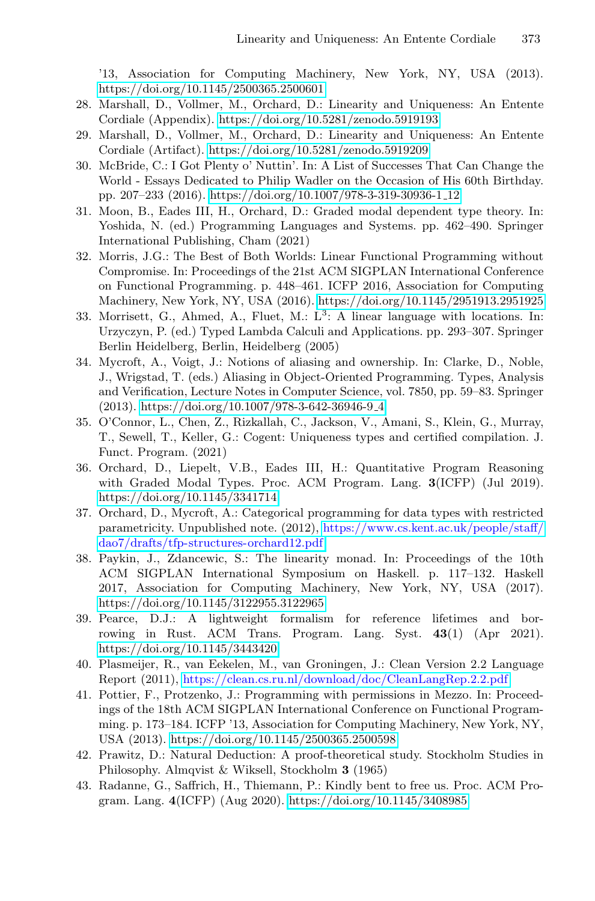'13, Association for Computing Machinery, New York, NY, USA (2013). <https://doi.org/10.1145/2500365.2500601>

- <span id="page-27-4"></span>28. Marshall, D., Vollmer, M., Orchard, D.: Linearity and Uniqueness: An Entente Cordiale (Appendix).<https://doi.org/10.5281/zenodo.5919193>
- <span id="page-27-5"></span>29. Marshall, D., Vollmer, M., Orchard, D.: Linearity and Uniqueness: An Entente Cordiale (Artifact).<https://doi.org/10.5281/zenodo.5919209>
- <span id="page-27-9"></span>30. McBride, C.: I Got Plenty o' Nuttin'. In: A List of Successes That Can Change the World - Essays Dedicated to Philip Wadler on the Occasion of His 60th Birthday. pp. 207–233 (2016). [https://doi.org/10.1007/978-3-319-30936-1](https://doi.org/10.1007/978-3-319-30936-1_12) 12
- <span id="page-27-15"></span>31. Moon, B., Eades III, H., Orchard, D.: Graded modal dependent type theory. In: Yoshida, N. (ed.) Programming Languages and Systems. pp. 462–490. Springer International Publishing, Cham (2021)
- <span id="page-27-6"></span>32. Morris, J.G.: The Best of Both Worlds: Linear Functional Programming without Compromise. In: Proceedings of the 21st ACM SIGPLAN International Conference on Functional Programming. p. 448–461. ICFP 2016, Association for Computing Machinery, New York, NY, USA (2016).<https://doi.org/10.1145/2951913.2951925>
- <span id="page-27-0"></span>33. Morrisett, G., Ahmed, A., Fluet, M.:  $L^3$ : A linear language with locations. In: Urzyczyn, P. (ed.) Typed Lambda Calculi and Applications. pp. 293–307. Springer Berlin Heidelberg, Berlin, Heidelberg (2005)
- <span id="page-27-11"></span>34. Mycroft, A., Voigt, J.: Notions of aliasing and ownership. In: Clarke, D., Noble, J., Wrigstad, T. (eds.) Aliasing in Object-Oriented Programming. Types, Analysis and Verification, Lecture Notes in Computer Science, vol. 7850, pp. 59–83. Springer (2013). [https://doi.org/10.1007/978-3-642-36946-9](https://doi.org/10.1007/978-3-642-36946-9_4) 4
- <span id="page-27-10"></span>35. O'Connor, L., Chen, Z., Rizkallah, C., Jackson, V., Amani, S., Klein, G., Murray, T., Sewell, T., Keller, G.: Cogent: Uniqueness types and certified compilation. J. Funct. Program. (2021)
- <span id="page-27-2"></span>36. Orchard, D., Liepelt, V.B., Eades III, H.: Quantitative Program Reasoning with Graded Modal Types. Proc. ACM Program. Lang. 3(ICFP) (Jul 2019). <https://doi.org/10.1145/3341714>
- <span id="page-27-8"></span>37. Orchard, D., Mycroft, A.: Categorical programming for data types with restricted parametricity. Unpublished note. (2012), [https://www.cs.kent.ac.uk/people/staff/](https://www.cs.kent.ac.uk/people/staff/dao7/drafts/tfp-structures-orchard12.pdf) [dao7/drafts/tfp-structures-orchard12.pdf](https://www.cs.kent.ac.uk/people/staff/dao7/drafts/tfp-structures-orchard12.pdf)
- <span id="page-27-1"></span>38. Paykin, J., Zdancewic, S.: The linearity monad. In: Proceedings of the 10th ACM SIGPLAN International Symposium on Haskell. p. 117–132. Haskell 2017, Association for Computing Machinery, New York, NY, USA (2017). <https://doi.org/10.1145/3122955.3122965>
- <span id="page-27-12"></span>39. Pearce, D.J.: A lightweight formalism for reference lifetimes and borrowing in Rust. ACM Trans. Program. Lang. Syst. 43(1) (Apr 2021). <https://doi.org/10.1145/3443420>
- <span id="page-27-3"></span>40. Plasmeijer, R., van Eekelen, M., van Groningen, J.: Clean Version 2.2 Language Report (2011), <https://clean.cs.ru.nl/download/doc/CleanLangRep.2.2.pdf>
- <span id="page-27-14"></span>41. Pottier, F., Protzenko, J.: Programming with permissions in Mezzo. In: Proceedings of the 18th ACM SIGPLAN International Conference on Functional Programming. p. 173–184. ICFP '13, Association for Computing Machinery, New York, NY, USA (2013).<https://doi.org/10.1145/2500365.2500598>
- <span id="page-27-7"></span>42. Prawitz, D.: Natural Deduction: A proof-theoretical study. Stockholm Studies in Philosophy. Almqvist & Wiksell, Stockholm 3 (1965)
- <span id="page-27-13"></span>43. Radanne, G., Saffrich, H., Thiemann, P.: Kindly bent to free us. Proc. ACM Program. Lang. 4(ICFP) (Aug 2020).<https://doi.org/10.1145/3408985>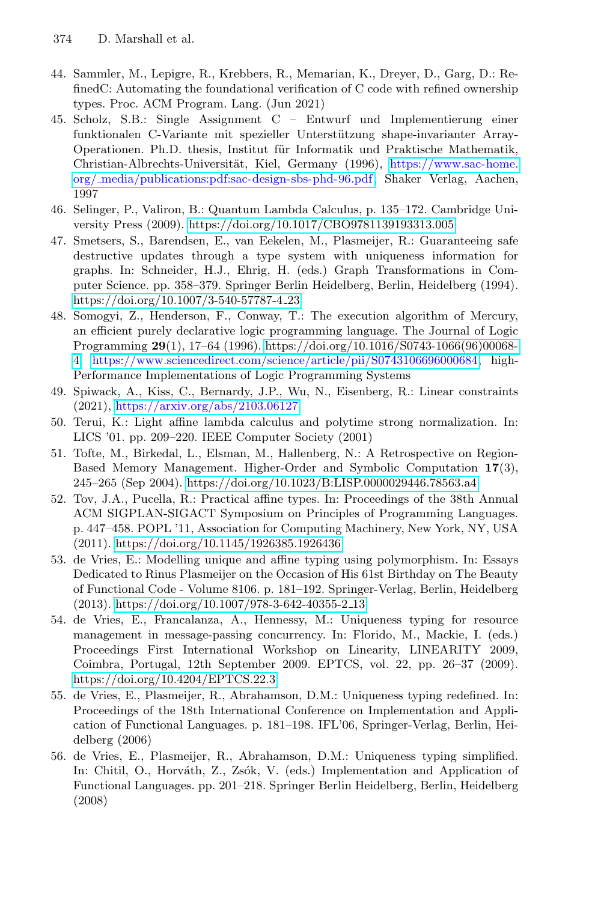- <span id="page-28-10"></span>44. Sammler, M., Lepigre, R., Krebbers, R., Memarian, K., Dreyer, D., Garg, D.: RefinedC: Automating the foundational verification of C code with refined ownership types. Proc. ACM Program. Lang. (Jun 2021)
- <span id="page-28-2"></span>45. Scholz, S.B.: Single Assignment C – Entwurf und Implementierung einer funktionalen C-Variante mit spezieller Unterstützung shape-invarianter Array-Operationen. Ph.D. thesis, Institut für Informatik und Praktische Mathematik, Christian-Albrechts-Universität, Kiel, Germany (1996), [https://www.sac-home.](https://www.sac-home.org/_media/publications:pdf:sac-design-sbs-phd-96.pdf) org/ [media/publications:pdf:sac-design-sbs-phd-96.pdf,](https://www.sac-home.org/_media/publications:pdf:sac-design-sbs-phd-96.pdf) Shaker Verlag, Aachen, 1997
- <span id="page-28-6"></span>46. Selinger, P., Valiron, B.: Quantum Lambda Calculus, p. 135–172. Cambridge University Press (2009).<https://doi.org/10.1017/CBO9781139193313.005>
- <span id="page-28-0"></span>47. Smetsers, S., Barendsen, E., van Eekelen, M., Plasmeijer, R.: Guaranteeing safe destructive updates through a type system with uniqueness information for graphs. In: Schneider, H.J., Ehrig, H. (eds.) Graph Transformations in Computer Science. pp. 358–379. Springer Berlin Heidelberg, Berlin, Heidelberg (1994). [https://doi.org/10.1007/3-540-57787-4](https://doi.org/10.1007/3-540-57787-4_23) 23
- <span id="page-28-3"></span>48. Somogyi, Z., Henderson, F., Conway, T.: The execution algorithm of Mercury, an efficient purely declarative logic programming language. The Journal of Logic Programming 29(1), 17–64 (1996). [https://doi.org/10.1016/S0743-1066\(96\)00068-](https://doi.org/10.1016/S0743-1066(96)00068-4) [4,](https://doi.org/10.1016/S0743-1066(96)00068-4) [https://www.sciencedirect.com/science/article/pii/S0743106696000684,](https://www.sciencedirect.com/science/article/pii/S0743106696000684) high-Performance Implementations of Logic Programming Systems
- <span id="page-28-12"></span>49. Spiwack, A., Kiss, C., Bernardy, J.P., Wu, N., Eisenberg, R.: Linear constraints (2021), <https://arxiv.org/abs/2103.06127>
- <span id="page-28-7"></span>50. Terui, K.: Light affine lambda calculus and polytime strong normalization. In: LICS '01. pp. 209–220. IEEE Computer Society (2001)
- <span id="page-28-11"></span>51. Tofte, M., Birkedal, L., Elsman, M., Hallenberg, N.: A Retrospective on Region-Based Memory Management. Higher-Order and Symbolic Computation 17(3), 245–265 (Sep 2004).<https://doi.org/10.1023/B:LISP.0000029446.78563.a4>
- <span id="page-28-5"></span>52. Tov, J.A., Pucella, R.: Practical affine types. In: Proceedings of the 38th Annual ACM SIGPLAN-SIGACT Symposium on Principles of Programming Languages. p. 447–458. POPL '11, Association for Computing Machinery, New York, NY, USA (2011).<https://doi.org/10.1145/1926385.1926436>
- <span id="page-28-8"></span>53. de Vries, E.: Modelling unique and affine typing using polymorphism. In: Essays Dedicated to Rinus Plasmeijer on the Occasion of His 61st Birthday on The Beauty of Functional Code - Volume 8106. p. 181–192. Springer-Verlag, Berlin, Heidelberg (2013). [https://doi.org/10.1007/978-3-642-40355-2](https://doi.org/10.1007/978-3-642-40355-2{_}13) 13
- <span id="page-28-9"></span>54. de Vries, E., Francalanza, A., Hennessy, M.: Uniqueness typing for resource management in message-passing concurrency. In: Florido, M., Mackie, I. (eds.) Proceedings First International Workshop on Linearity, LINEARITY 2009, Coimbra, Portugal, 12th September 2009. EPTCS, vol. 22, pp. 26–37 (2009). <https://doi.org/10.4204/EPTCS.22.3>
- <span id="page-28-4"></span>55. de Vries, E., Plasmeijer, R., Abrahamson, D.M.: Uniqueness typing redefined. In: Proceedings of the 18th International Conference on Implementation and Application of Functional Languages. p. 181–198. IFL'06, Springer-Verlag, Berlin, Heidelberg (2006)
- <span id="page-28-1"></span>56. de Vries, E., Plasmeijer, R., Abrahamson, D.M.: Uniqueness typing simplified. In: Chitil, O., Horváth, Z., Zsók, V. (eds.) Implementation and Application of Functional Languages. pp. 201–218. Springer Berlin Heidelberg, Berlin, Heidelberg (2008)